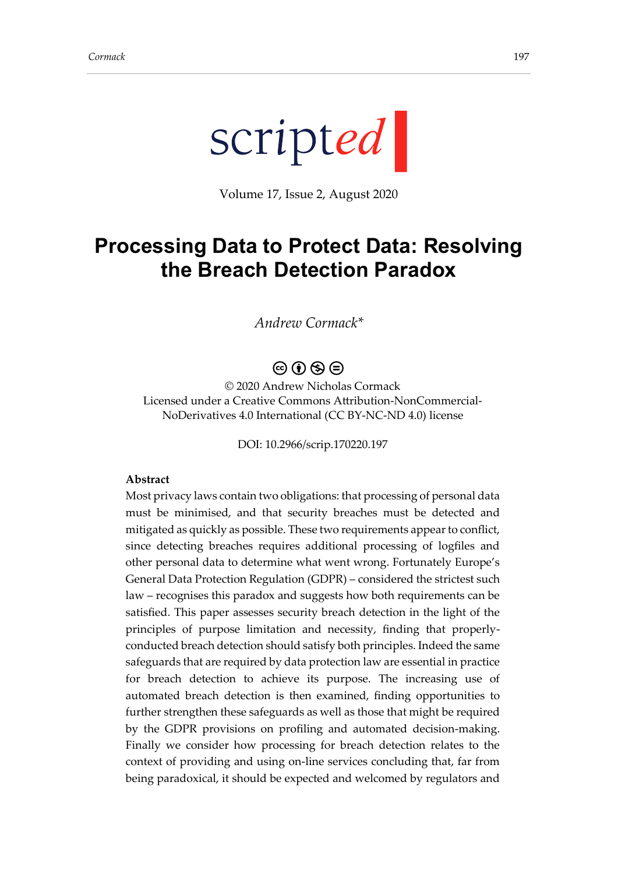

Volume 17, Issue 2, August 2020

# **Processing Data to Protect Data: Resolving the Breach Detection Paradox**

*Andrew Cormack\**

# $\circledcirc$   $\circledcirc$   $\circledcirc$

© 2020 Andrew Nicholas Cormack Licensed under a Creative Commons Attribution-NonCommercial-NoDerivatives 4.0 International (CC BY-NC-ND 4.0) license

DOI: 10.2966/scrip.170220.197

#### **Abstract**

Most privacy laws contain two obligations: that processing of personal data must be minimised, and that security breaches must be detected and mitigated as quickly as possible. These two requirements appear to conflict, since detecting breaches requires additional processing of logfiles and other personal data to determine what went wrong. Fortunately Europe's General Data Protection Regulation (GDPR) – considered the strictest such law – recognises this paradox and suggests how both requirements can be satisfied. This paper assesses security breach detection in the light of the principles of purpose limitation and necessity, finding that properlyconducted breach detection should satisfy both principles. Indeed the same safeguards that are required by data protection law are essential in practice for breach detection to achieve its purpose. The increasing use of automated breach detection is then examined, finding opportunities to further strengthen these safeguards as well as those that might be required by the GDPR provisions on profiling and automated decision-making. Finally we consider how processing for breach detection relates to the context of providing and using on-line services concluding that, far from being paradoxical, it should be expected and welcomed by regulators and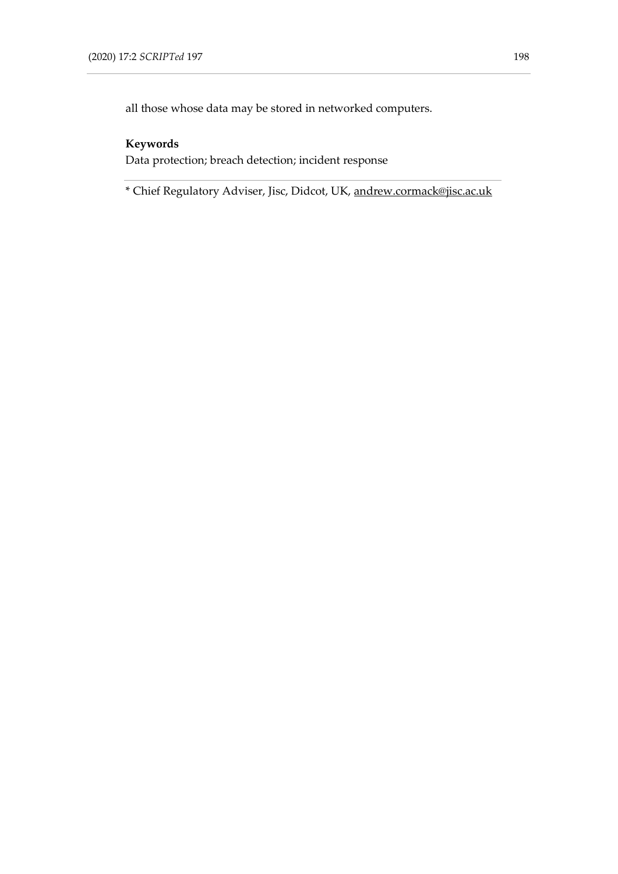all those whose data may be stored in networked computers.

## **Keywords**

Data protection; breach detection; incident response

\* Chief Regulatory Adviser, Jisc, Didcot, UK, [andrew.cormack@jisc.ac.uk](mailto:andrew.cormack@jisc.ac.uk)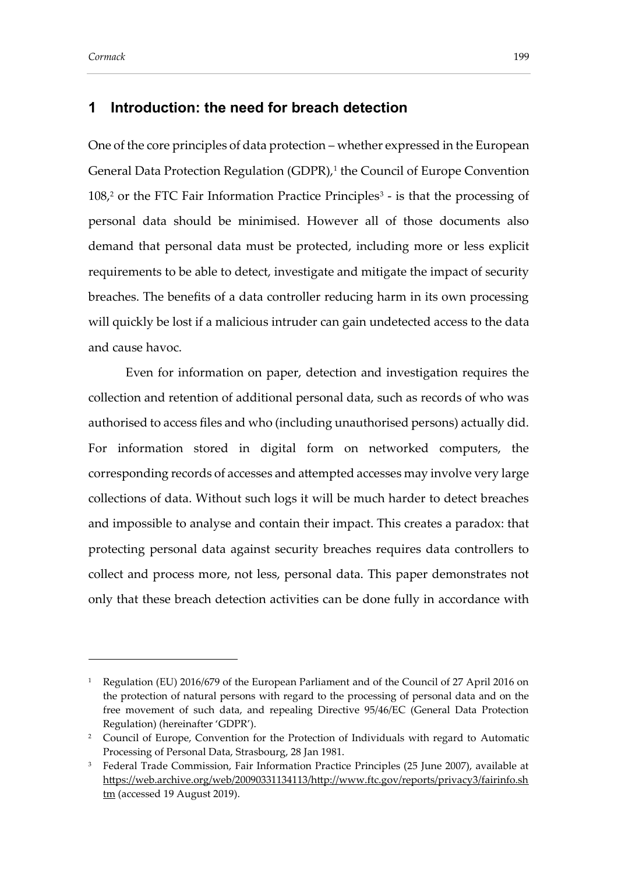### **1 Introduction: the need for breach detection**

<span id="page-2-0"></span>One of the core principles of data protection – whether expressed in the European General Data Protection Regulation (GDPR),<sup>1</sup> the Council of Europe Convention 108,<sup>2</sup> or the FTC Fair Information Practice Principles<sup>3</sup> - is that the processing of personal data should be minimised. However all of those documents also demand that personal data must be protected, including more or less explicit requirements to be able to detect, investigate and mitigate the impact of security breaches. The benefits of a data controller reducing harm in its own processing will quickly be lost if a malicious intruder can gain undetected access to the data and cause havoc.

Even for information on paper, detection and investigation requires the collection and retention of additional personal data, such as records of who was authorised to access files and who (including unauthorised persons) actually did. For information stored in digital form on networked computers, the corresponding records of accesses and attempted accesses may involve very large collections of data. Without such logs it will be much harder to detect breaches and impossible to analyse and contain their impact. This creates a paradox: that protecting personal data against security breaches requires data controllers to collect and process more, not less, personal data. This paper demonstrates not only that these breach detection activities can be done fully in accordance with

<sup>&</sup>lt;sup>1</sup> Regulation (EU) 2016/679 of the European Parliament and of the Council of 27 April 2016 on the protection of natural persons with regard to the processing of personal data and on the free movement of such data, and repealing Directive 95/46/EC (General Data Protection Regulation) (hereinafter 'GDPR').

<sup>&</sup>lt;sup>2</sup> Council of Europe, Convention for the Protection of Individuals with regard to Automatic Processing of Personal Data, Strasbourg, 28 Jan 1981.

<sup>&</sup>lt;sup>3</sup> Federal Trade Commission, Fair Information Practice Principles (25 June 2007), available at [https://web.archive.org/web/20090331134113/http://www.ftc.gov/reports/privacy3/fairinfo.sh](https://web.archive.org/web/20090331134113/http:/www.ftc.gov/reports/privacy3/fairinfo.shtm) [tm](https://web.archive.org/web/20090331134113/http:/www.ftc.gov/reports/privacy3/fairinfo.shtm) (accessed 19 August 2019).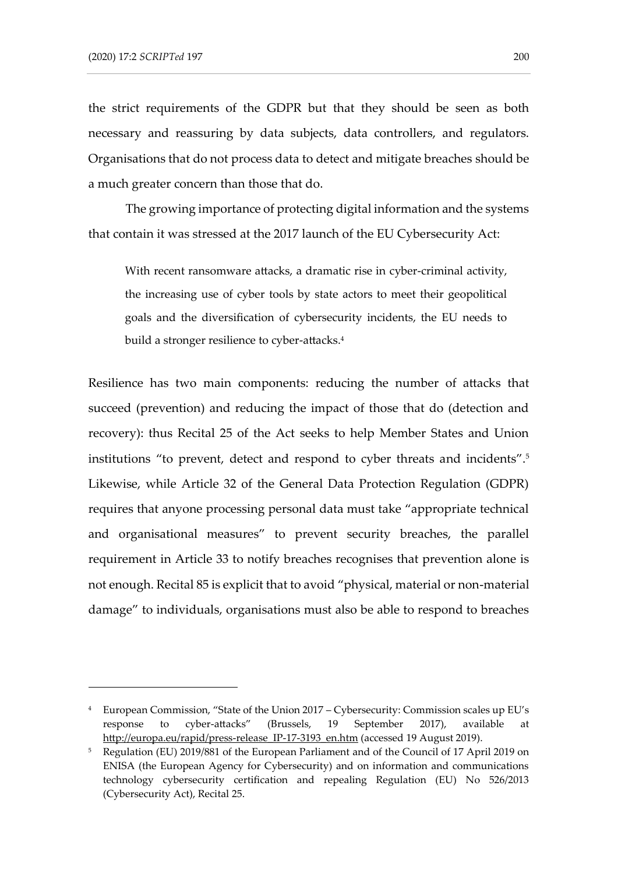the strict requirements of the GDPR but that they should be seen as both necessary and reassuring by data subjects, data controllers, and regulators. Organisations that do not process data to detect and mitigate breaches should be a much greater concern than those that do.

The growing importance of protecting digital information and the systems that contain it was stressed at the 2017 launch of the EU Cybersecurity Act:

With recent ransomware attacks, a dramatic rise in cyber-criminal activity, the increasing use of cyber tools by state actors to meet their geopolitical goals and the diversification of cybersecurity incidents, the EU needs to build a stronger resilience to cyber-attacks.<sup>4</sup>

Resilience has two main components: reducing the number of attacks that succeed (prevention) and reducing the impact of those that do (detection and recovery): thus Recital 25 of the Act seeks to help Member States and Union institutions "to prevent, detect and respond to cyber threats and incidents".<sup>5</sup> Likewise, while Article 32 of the General Data Protection Regulation (GDPR) requires that anyone processing personal data must take "appropriate technical and organisational measures" to prevent security breaches, the parallel requirement in Article 33 to notify breaches recognises that prevention alone is not enough. Recital 85 is explicit that to avoid "physical, material or non-material damage" to individuals, organisations must also be able to respond to breaches

<sup>4</sup> European Commission, "State of the Union 2017 – Cybersecurity: Commission scales up EU's response to cyber-attacks" (Brussels, 19 September 2017), available at [http://europa.eu/rapid/press-release\\_IP-17-3193\\_en.htm](http://europa.eu/rapid/press-release_IP-17-3193_en.htm) (accessed 19 August 2019).

<sup>5</sup> Regulation (EU) 2019/881 of the European Parliament and of the Council of 17 April 2019 on ENISA (the European Agency for Cybersecurity) and on information and communications technology cybersecurity certification and repealing Regulation (EU) No 526/2013 (Cybersecurity Act), Recital 25.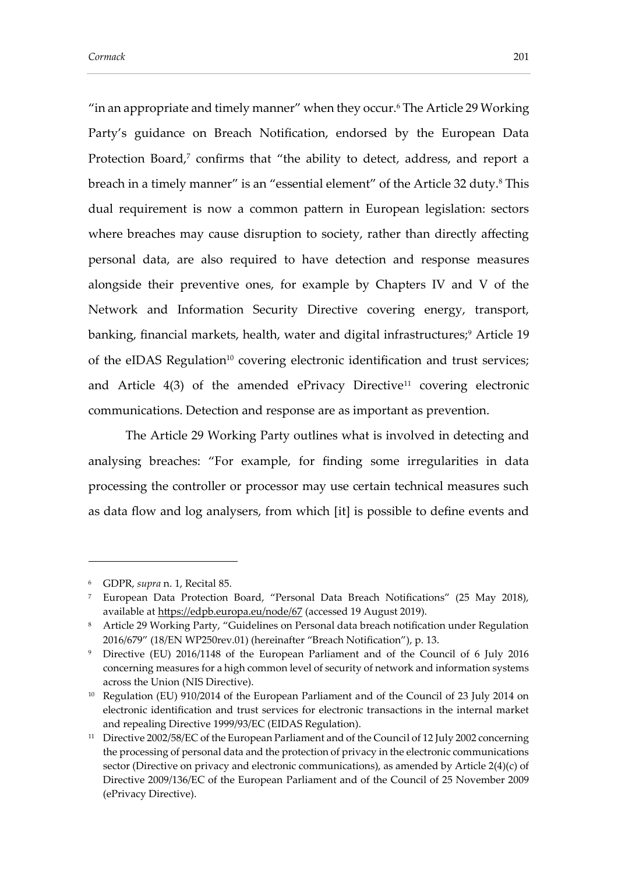<span id="page-4-0"></span>"in an appropriate and timely manner" when they occur.<sup>6</sup> The Article 29 Working Party's guidance on Breach Notification, endorsed by the European Data Protection Board,<sup>7</sup> confirms that "the ability to detect, address, and report a breach in a timely manner" is an "essential element" of the Article 32 duty.<sup>8</sup> This dual requirement is now a common pattern in European legislation: sectors where breaches may cause disruption to society, rather than directly affecting personal data, are also required to have detection and response measures alongside their preventive ones, for example by Chapters IV and V of the Network and Information Security Directive covering energy, transport, banking, financial markets, health, water and digital infrastructures;<sup>9</sup> Article 19 of the eIDAS Regulation<sup>10</sup> covering electronic identification and trust services; and Article  $4(3)$  of the amended ePrivacy Directive<sup>11</sup> covering electronic communications. Detection and response are as important as prevention.

<span id="page-4-1"></span>The Article 29 Working Party outlines what is involved in detecting and analysing breaches: "For example, for finding some irregularities in data processing the controller or processor may use certain technical measures such as data flow and log analysers, from which [it] is possible to define events and

<sup>6</sup> GDPR, *supra* n. [1,](#page-2-0) Recital 85.

<sup>7</sup> European Data Protection Board, "Personal Data Breach Notifications" (25 May 2018), available at<https://edpb.europa.eu/node/67> (accessed 19 August 2019).

<sup>8</sup> Article 29 Working Party, "Guidelines on Personal data breach notification under Regulation 2016/679" (18/EN WP250rev.01) (hereinafter "Breach Notification"), p. 13.

<sup>9</sup> Directive (EU) 2016/1148 of the European Parliament and of the Council of 6 July 2016 concerning measures for a high common level of security of network and information systems across the Union (NIS Directive).

<sup>&</sup>lt;sup>10</sup> Regulation (EU) 910/2014 of the European Parliament and of the Council of 23 July 2014 on electronic identification and trust services for electronic transactions in the internal market and repealing Directive 1999/93/EC (EIDAS Regulation).

<sup>&</sup>lt;sup>11</sup> Directive 2002/58/EC of the European Parliament and of the Council of 12 July 2002 concerning the processing of personal data and the protection of privacy in the electronic communications sector (Directive on privacy and electronic communications), as amended by Article 2(4)(c) of Directive 2009/136/EC of the European Parliament and of the Council of 25 November 2009 (ePrivacy Directive).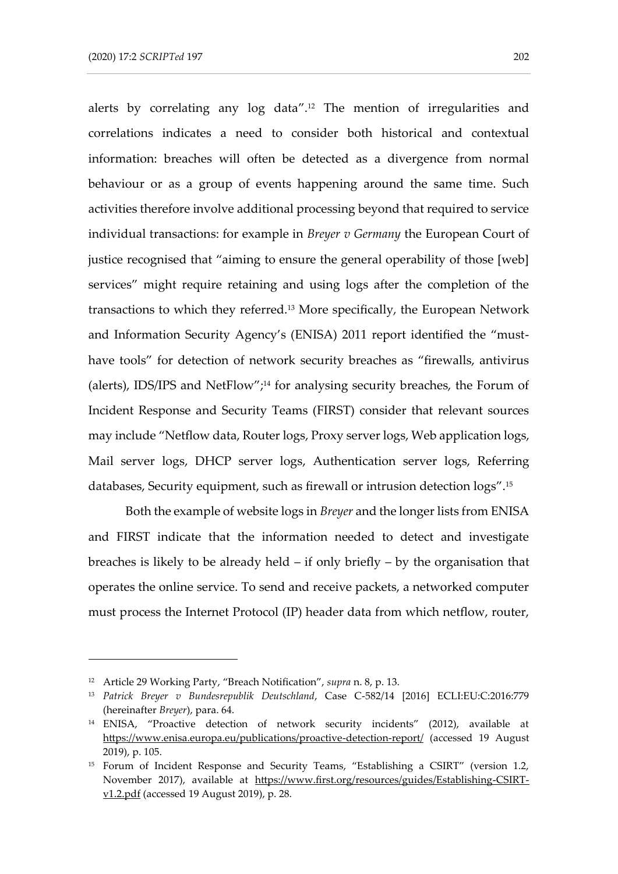<span id="page-5-0"></span>alerts by correlating any log data".<sup>12</sup> The mention of irregularities and correlations indicates a need to consider both historical and contextual information: breaches will often be detected as a divergence from normal behaviour or as a group of events happening around the same time. Such activities therefore involve additional processing beyond that required to service individual transactions: for example in *Breyer v Germany* the European Court of justice recognised that "aiming to ensure the general operability of those [web] services" might require retaining and using logs after the completion of the transactions to which they referred.<sup>13</sup> More specifically, the European Network and Information Security Agency's (ENISA) 2011 report identified the "musthave tools" for detection of network security breaches as "firewalls, antivirus (alerts), IDS/IPS and NetFlow";<sup>14</sup> for analysing security breaches, the Forum of Incident Response and Security Teams (FIRST) consider that relevant sources may include "Netflow data, Router logs, Proxy server logs, Web application logs, Mail server logs, DHCP server logs, Authentication server logs, Referring databases, Security equipment, such as firewall or intrusion detection logs". 15

Both the example of website logs in *Breyer* and the longer lists from ENISA and FIRST indicate that the information needed to detect and investigate breaches is likely to be already held – if only briefly – by the organisation that operates the online service. To send and receive packets, a networked computer must process the Internet Protocol (IP) header data from which netflow, router,

<sup>12</sup> Article 29 Working Party, "Breach Notification", *supra* n. [8,](#page-4-0) p. 13.

<sup>13</sup> *Patrick Breyer v Bundesrepublik Deutschland*, Case C-582/14 [2016] ECLI:EU:C:2016:779 (hereinafter *Breyer*), para. 64.

<sup>14</sup> ENISA, "Proactive detection of network security incidents" (2012), available at <https://www.enisa.europa.eu/publications/proactive-detection-report/> (accessed 19 August 2019), p. 105.

<sup>15</sup> Forum of Incident Response and Security Teams, "Establishing a CSIRT" (version 1.2, November 2017), available at [https://www.first.org/resources/guides/Establishing-CSIRT](https://www.first.org/resources/guides/Establishing-CSIRT-v1.2.pdf)[v1.2.pdf](https://www.first.org/resources/guides/Establishing-CSIRT-v1.2.pdf) (accessed 19 August 2019), p. 28.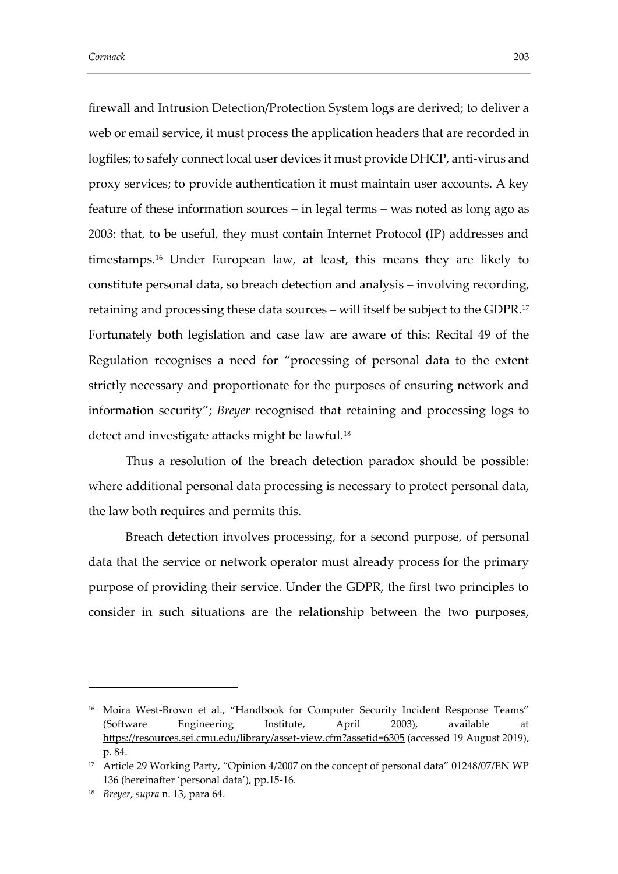<span id="page-6-0"></span>firewall and Intrusion Detection/Protection System logs are derived; to deliver a web or email service, it must process the application headers that are recorded in logfiles; to safely connect local user devices it must provide DHCP, anti-virus and proxy services; to provide authentication it must maintain user accounts. A key feature of these information sources – in legal terms – was noted as long ago as 2003: that, to be useful, they must contain Internet Protocol (IP) addresses and timestamps.<sup>16</sup> Under European law, at least, this means they are likely to constitute personal data, so breach detection and analysis – involving recording, retaining and processing these data sources – will itself be subject to the GDPR.<sup>17</sup> Fortunately both legislation and case law are aware of this: Recital 49 of the Regulation recognises a need for "processing of personal data to the extent strictly necessary and proportionate for the purposes of ensuring network and information security"; *Breyer* recognised that retaining and processing logs to detect and investigate attacks might be lawful.<sup>18</sup>

Thus a resolution of the breach detection paradox should be possible: where additional personal data processing is necessary to protect personal data, the law both requires and permits this.

Breach detection involves processing, for a second purpose, of personal data that the service or network operator must already process for the primary purpose of providing their service. Under the GDPR, the first two principles to consider in such situations are the relationship between the two purposes,

<sup>&</sup>lt;sup>16</sup> Moira West-Brown et al., "Handbook for Computer Security Incident Response Teams" (Software Engineering Institute, April 2003), available at <https://resources.sei.cmu.edu/library/asset-view.cfm?assetid=6305> (accessed 19 August 2019), p. 84.

<sup>&</sup>lt;sup>17</sup> Article 29 Working Party, "Opinion 4/2007 on the concept of personal data" 01248/07/EN WP 136 (hereinafter 'personal data'), pp.15-16.

<sup>18</sup> *Breyer*, *supra* n. [13,](#page-5-0) para 64.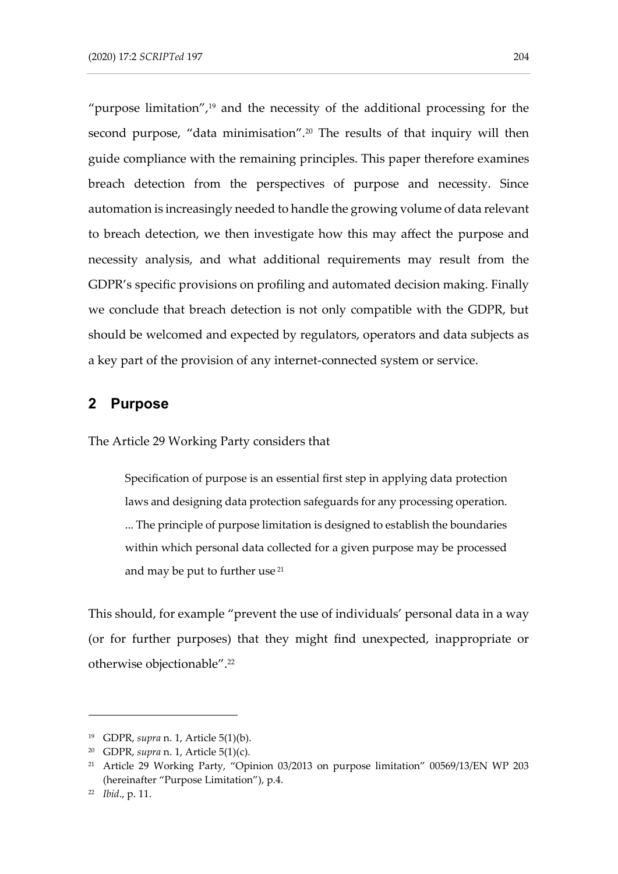"purpose limitation", $19$  and the necessity of the additional processing for the second purpose, "data minimisation".<sup>20</sup> The results of that inquiry will then guide compliance with the remaining principles. This paper therefore examines breach detection from the perspectives of purpose and necessity. Since automation is increasingly needed to handle the growing volume of data relevant to breach detection, we then investigate how this may affect the purpose and necessity analysis, and what additional requirements may result from the GDPR's specific provisions on profiling and automated decision making. Finally we conclude that breach detection is not only compatible with the GDPR, but should be welcomed and expected by regulators, operators and data subjects as a key part of the provision of any internet-connected system or service.

### **2 Purpose**

The Article 29 Working Party considers that

<span id="page-7-0"></span>Specification of purpose is an essential first step in applying data protection laws and designing data protection safeguards for any processing operation. ... The principle of purpose limitation is designed to establish the boundaries within which personal data collected for a given purpose may be processed and may be put to further use<sup>21</sup>

This should, for example "prevent the use of individuals' personal data in a way (or for further purposes) that they might find unexpected, inappropriate or otherwise objectionable".<sup>22</sup>

<sup>19</sup> GDPR, *supra* n. [1,](#page-2-0) Article 5(1)(b).

<sup>20</sup> GDPR, *supra* n. [1,](#page-2-0) Article 5(1)(c).

<sup>21</sup> Article 29 Working Party, "Opinion 03/2013 on purpose limitation" 00569/13/EN WP 203 (hereinafter "Purpose Limitation"), p.4.

<sup>22</sup> *Ibid*., p. 11.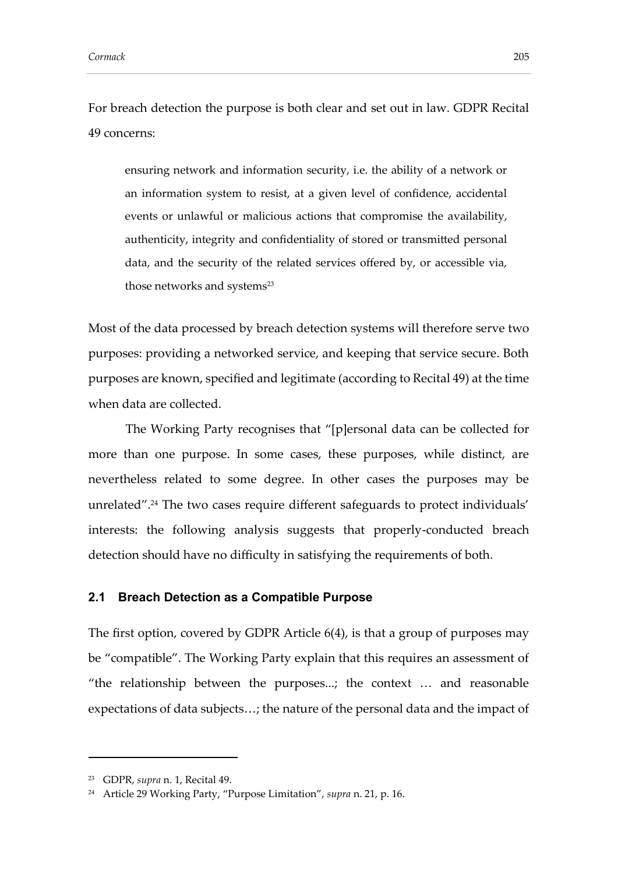For breach detection the purpose is both clear and set out in law. GDPR Recital 49 concerns:

ensuring network and information security, i.e. the ability of a network or an information system to resist, at a given level of confidence, accidental events or unlawful or malicious actions that compromise the availability, authenticity, integrity and confidentiality of stored or transmitted personal data, and the security of the related services offered by, or accessible via, those networks and systems<sup>23</sup>

Most of the data processed by breach detection systems will therefore serve two purposes: providing a networked service, and keeping that service secure. Both purposes are known, specified and legitimate (according to Recital 49) at the time when data are collected.

The Working Party recognises that "[p]ersonal data can be collected for more than one purpose. In some cases, these purposes, while distinct, are nevertheless related to some degree. In other cases the purposes may be unrelated".<sup>24</sup> The two cases require different safeguards to protect individuals' interests: the following analysis suggests that properly-conducted breach detection should have no difficulty in satisfying the requirements of both.

#### **2.1 Breach Detection as a Compatible Purpose**

The first option, covered by GDPR Article 6(4), is that a group of purposes may be "compatible". The Working Party explain that this requires an assessment of "the relationship between the purposes...; the context … and reasonable expectations of data subjects…; the nature of the personal data and the impact of

<sup>23</sup> GDPR, *supra* n. [1,](#page-2-0) Recital 49.

<sup>24</sup> Article 29 Working Party, "Purpose Limitation", *supra* n. [21,](#page-7-0) p. 16.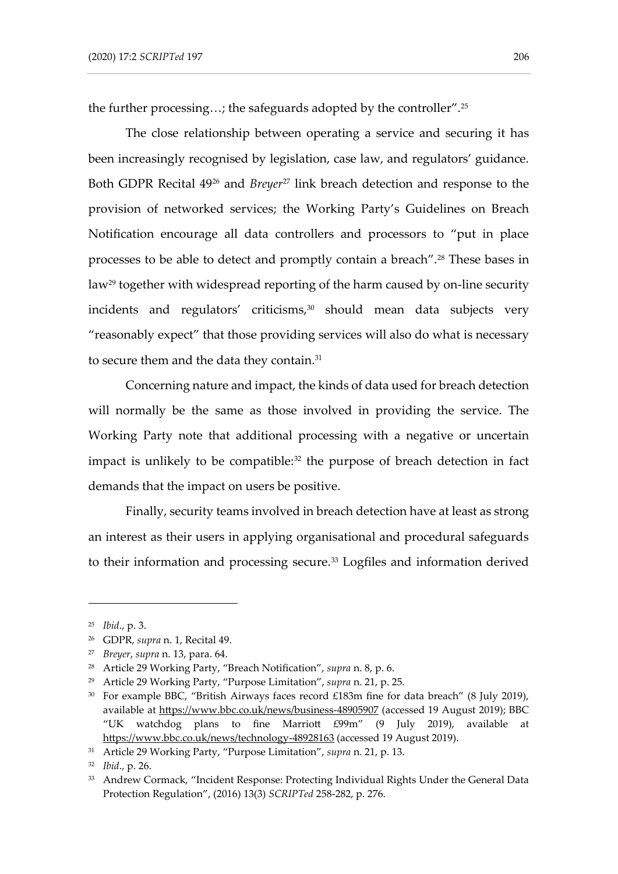the further processing…; the safeguards adopted by the controller".<sup>25</sup>

The close relationship between operating a service and securing it has been increasingly recognised by legislation, case law, and regulators' guidance. Both GDPR Recital 49<sup>26</sup> and *Breyer*<sup>27</sup> link breach detection and response to the provision of networked services; the Working Party's Guidelines on Breach Notification encourage all data controllers and processors to "put in place processes to be able to detect and promptly contain a breach".<sup>28</sup> These bases in law<sup>29</sup> together with widespread reporting of the harm caused by on-line security incidents and regulators' criticisms,<sup>30</sup> should mean data subjects very "reasonably expect" that those providing services will also do what is necessary to secure them and the data they contain.<sup>31</sup>

Concerning nature and impact, the kinds of data used for breach detection will normally be the same as those involved in providing the service. The Working Party note that additional processing with a negative or uncertain impact is unlikely to be compatible:<sup>32</sup> the purpose of breach detection in fact demands that the impact on users be positive.

<span id="page-9-0"></span>Finally, security teams involved in breach detection have at least as strong an interest as their users in applying organisational and procedural safeguards to their information and processing secure.<sup>33</sup> Logfiles and information derived

<sup>25</sup> *Ibid*., p. 3.

<sup>26</sup> GDPR, *supra* n. [1,](#page-2-0) Recital 49.

<sup>27</sup> *Breyer*, *supra* n. [13,](#page-5-0) para. 64.

<sup>28</sup> Article 29 Working Party, "Breach Notification", *supra* n. [8,](#page-4-0) p. 6.

<sup>29</sup> Article 29 Working Party, "Purpose Limitation", *supra* n. [21,](#page-7-0) p. 25.

<sup>&</sup>lt;sup>30</sup> For example BBC, "British Airways faces record £183m fine for data breach" (8 July 2019), available at<https://www.bbc.co.uk/news/business-48905907> (accessed 19 August 2019); BBC "UK watchdog plans to fine Marriott £99m" (9 July 2019), available at <https://www.bbc.co.uk/news/technology-48928163> (accessed 19 August 2019).

<sup>31</sup> Article 29 Working Party, "Purpose Limitation", *supra* n. [21,](#page-7-0) p. 13.

<sup>32</sup> *Ibid*., p. 26.

<sup>33</sup> Andrew Cormack, "Incident Response: Protecting Individual Rights Under the General Data Protection Regulation", (2016) 13(3) *SCRIPTed* 258-282, p. 276.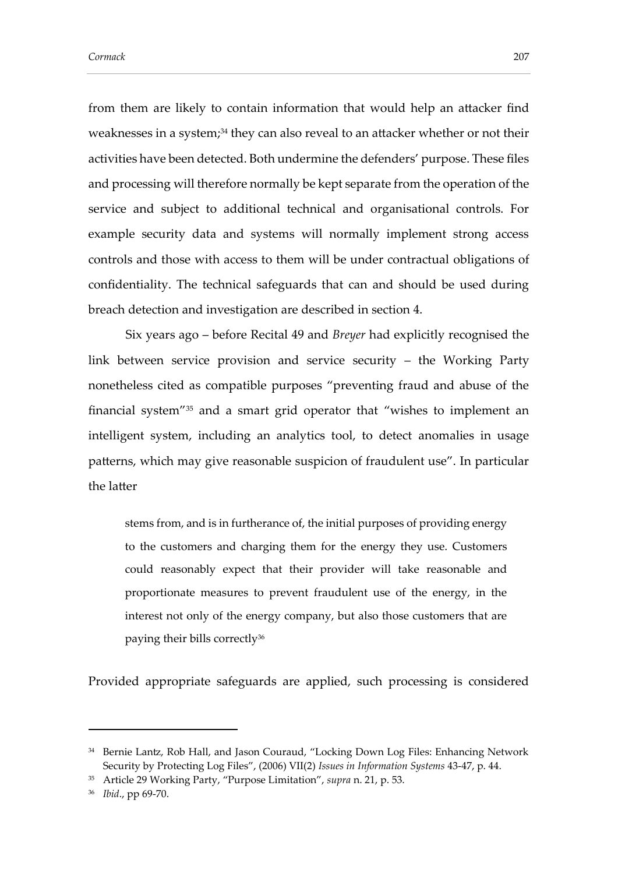from them are likely to contain information that would help an attacker find weaknesses in a system;<sup>34</sup> they can also reveal to an attacker whether or not their activities have been detected. Both undermine the defenders' purpose. These files and processing will therefore normally be kept separate from the operation of the service and subject to additional technical and organisational controls. For example security data and systems will normally implement strong access controls and those with access to them will be under contractual obligations of confidentiality. The technical safeguards that can and should be used during breach detection and investigation are described in section 4.

Six years ago – before Recital 49 and *Breyer* had explicitly recognised the link between service provision and service security – the Working Party nonetheless cited as compatible purposes "preventing fraud and abuse of the financial system"<sup>35</sup> and a smart grid operator that "wishes to implement an intelligent system, including an analytics tool, to detect anomalies in usage patterns, which may give reasonable suspicion of fraudulent use". In particular the latter

stems from, and is in furtherance of, the initial purposes of providing energy to the customers and charging them for the energy they use. Customers could reasonably expect that their provider will take reasonable and proportionate measures to prevent fraudulent use of the energy, in the interest not only of the energy company, but also those customers that are paying their bills correctly<sup>36</sup>

Provided appropriate safeguards are applied, such processing is considered

<sup>&</sup>lt;sup>34</sup> Bernie Lantz, Rob Hall, and Jason Couraud, "Locking Down Log Files: Enhancing Network Security by Protecting Log Files", (2006) VII(2) *Issues in Information Systems* 43-47, p. 44.

<sup>35</sup> Article 29 Working Party, "Purpose Limitation", *supra* n. [21,](#page-7-0) p. 53.

<sup>36</sup> *Ibid*., pp 69-70.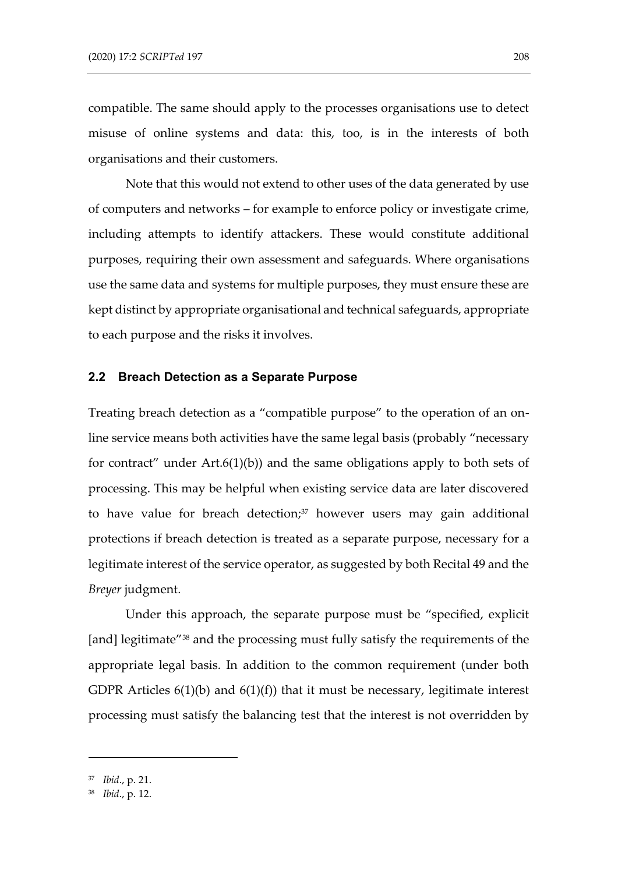compatible. The same should apply to the processes organisations use to detect misuse of online systems and data: this, too, is in the interests of both organisations and their customers.

Note that this would not extend to other uses of the data generated by use of computers and networks – for example to enforce policy or investigate crime, including attempts to identify attackers. These would constitute additional purposes, requiring their own assessment and safeguards. Where organisations use the same data and systems for multiple purposes, they must ensure these are kept distinct by appropriate organisational and technical safeguards, appropriate to each purpose and the risks it involves.

#### **2.2 Breach Detection as a Separate Purpose**

Treating breach detection as a "compatible purpose" to the operation of an online service means both activities have the same legal basis (probably "necessary for contract" under Art.6(1)(b)) and the same obligations apply to both sets of processing. This may be helpful when existing service data are later discovered to have value for breach detection;<sup>37</sup> however users may gain additional protections if breach detection is treated as a separate purpose, necessary for a legitimate interest of the service operator, as suggested by both Recital 49 and the *Breyer* judgment.

Under this approach, the separate purpose must be "specified, explicit [and] legitimate<sup>"38</sup> and the processing must fully satisfy the requirements of the appropriate legal basis. In addition to the common requirement (under both GDPR Articles  $6(1)(b)$  and  $6(1)(f)$  that it must be necessary, legitimate interest processing must satisfy the balancing test that the interest is not overridden by

<sup>37</sup> *Ibid*., p. 21.

<sup>38</sup> *Ibid*., p. 12.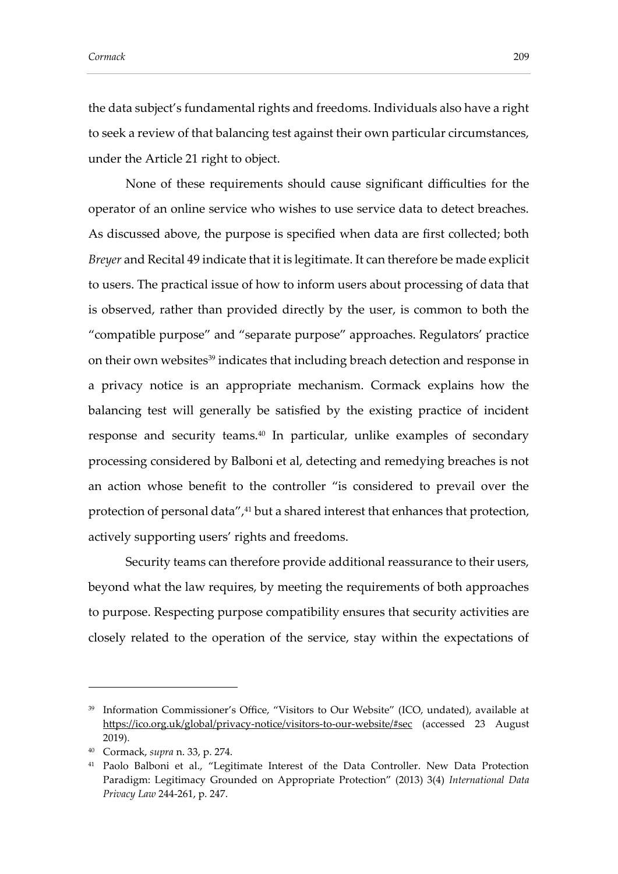the data subject's fundamental rights and freedoms. Individuals also have a right to seek a review of that balancing test against their own particular circumstances, under the Article 21 right to object.

None of these requirements should cause significant difficulties for the operator of an online service who wishes to use service data to detect breaches. As discussed above, the purpose is specified when data are first collected; both *Breyer* and Recital 49 indicate that it is legitimate. It can therefore be made explicit to users. The practical issue of how to inform users about processing of data that is observed, rather than provided directly by the user, is common to both the "compatible purpose" and "separate purpose" approaches. Regulators' practice on their own websites<sup>39</sup> indicates that including breach detection and response in a privacy notice is an appropriate mechanism. Cormack explains how the balancing test will generally be satisfied by the existing practice of incident response and security teams.<sup>40</sup> In particular, unlike examples of secondary processing considered by Balboni et al, detecting and remedying breaches is not an action whose benefit to the controller "is considered to prevail over the protection of personal data",<sup>41</sup> but a shared interest that enhances that protection, actively supporting users' rights and freedoms.

Security teams can therefore provide additional reassurance to their users, beyond what the law requires, by meeting the requirements of both approaches to purpose. Respecting purpose compatibility ensures that security activities are closely related to the operation of the service, stay within the expectations of

<sup>39</sup> Information Commissioner's Office, "Visitors to Our Website" (ICO, undated), available at <https://ico.org.uk/global/privacy-notice/visitors-to-our-website/#sec> (accessed 23 August 2019).

<sup>40</sup> Cormack, *supra* n[. 33,](#page-9-0) p. 274.

<sup>41</sup> Paolo Balboni et al., "Legitimate Interest of the Data Controller. New Data Protection Paradigm: Legitimacy Grounded on Appropriate Protection" (2013) 3(4) *International Data Privacy Law* 244-261, p. 247.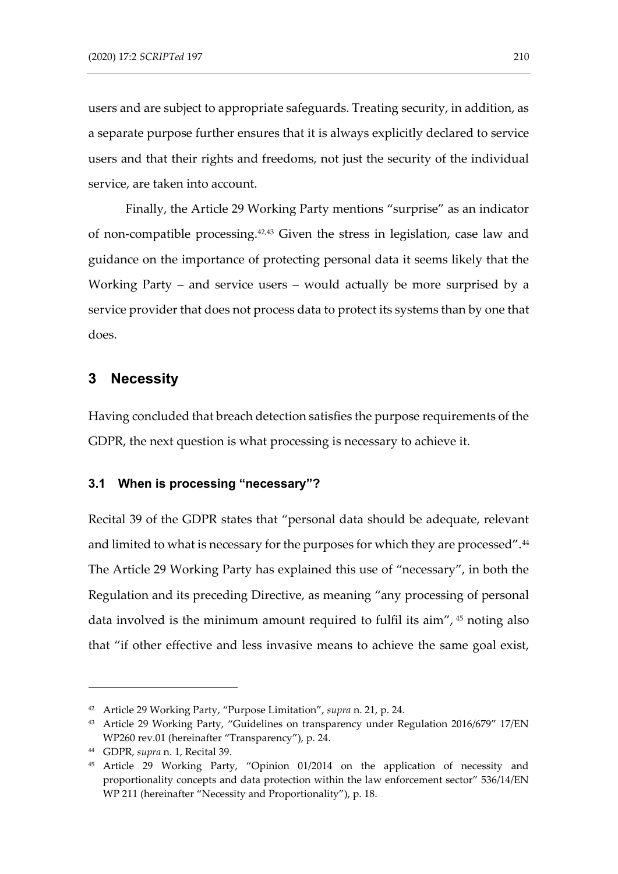users and are subject to appropriate safeguards. Treating security, in addition, as a separate purpose further ensures that it is always explicitly declared to service users and that their rights and freedoms, not just the security of the individual service, are taken into account.

<span id="page-13-1"></span>Finally, the Article 29 Working Party mentions "surprise" as an indicator of non-compatible processing.42,<sup>43</sup> Given the stress in legislation, case law and guidance on the importance of protecting personal data it seems likely that the Working Party – and service users – would actually be more surprised by a service provider that does not process data to protect its systems than by one that does.

### **3 Necessity**

Having concluded that breach detection satisfies the purpose requirements of the GDPR, the next question is what processing is necessary to achieve it.

### **3.1 When is processing "necessary"?**

Recital 39 of the GDPR states that "personal data should be adequate, relevant and limited to what is necessary for the purposes for which they are processed".<sup>44</sup> The Article 29 Working Party has explained this use of "necessary", in both the Regulation and its preceding Directive, as meaning "any processing of personal data involved is the minimum amount required to fulfil its aim", <sup>45</sup> noting also that "if other effective and less invasive means to achieve the same goal exist,

<span id="page-13-0"></span><sup>42</sup> Article 29 Working Party, "Purpose Limitation", *supra* n. [21,](#page-7-0) p. 24.

<sup>43</sup> Article 29 Working Party, "Guidelines on transparency under Regulation 2016/679" 17/EN WP260 rev.01 (hereinafter "Transparency"), p. 24.

<sup>44</sup> GDPR, *supra* n. [1,](#page-2-0) Recital 39.

<sup>45</sup> Article 29 Working Party, "Opinion 01/2014 on the application of necessity and proportionality concepts and data protection within the law enforcement sector" 536/14/EN WP 211 (hereinafter "Necessity and Proportionality"), p. 18.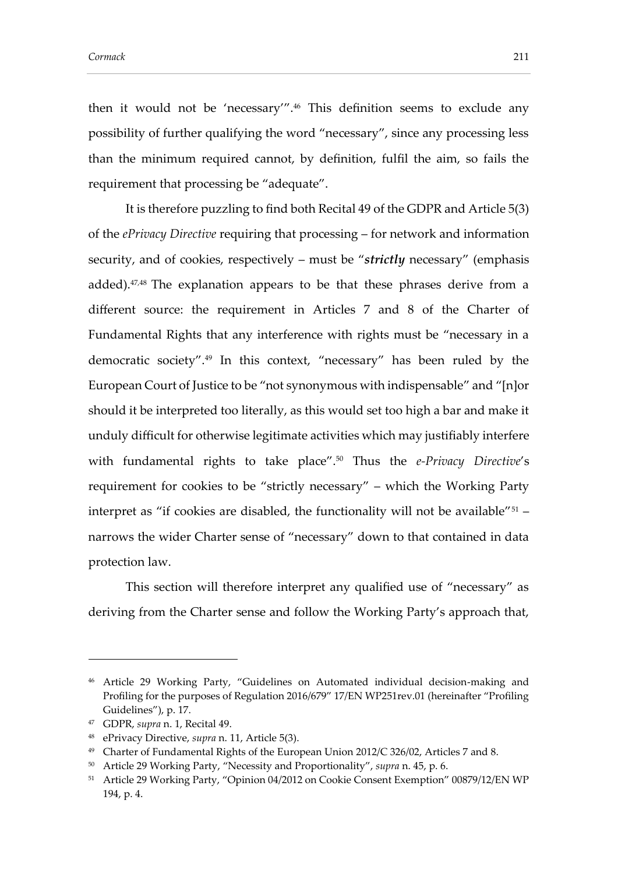<span id="page-14-0"></span>then it would not be 'necessary'".<sup>46</sup> This definition seems to exclude any possibility of further qualifying the word "necessary", since any processing less than the minimum required cannot, by definition, fulfil the aim, so fails the requirement that processing be "adequate".

It is therefore puzzling to find both Recital 49 of the GDPR and Article 5(3) of the *ePrivacy Directive* requiring that processing – for network and information security, and of cookies, respectively – must be "*strictly* necessary" (emphasis added). <sup>47</sup>,<sup>48</sup> The explanation appears to be that these phrases derive from a different source: the requirement in Articles 7 and 8 of the Charter of Fundamental Rights that any interference with rights must be "necessary in a democratic society".<sup>49</sup> In this context, "necessary" has been ruled by the European Court of Justice to be "not synonymous with indispensable" and "[n]or should it be interpreted too literally, as this would set too high a bar and make it unduly difficult for otherwise legitimate activities which may justifiably interfere with fundamental rights to take place".<sup>50</sup> Thus the *e-Privacy Directive*'s requirement for cookies to be "strictly necessary" – which the Working Party interpret as "if cookies are disabled, the functionality will not be available"<sup>51</sup> narrows the wider Charter sense of "necessary" down to that contained in data protection law.

This section will therefore interpret any qualified use of "necessary" as deriving from the Charter sense and follow the Working Party's approach that,

<sup>46</sup> Article 29 Working Party, "Guidelines on Automated individual decision-making and Profiling for the purposes of Regulation 2016/679" 17/EN WP251rev.01 (hereinafter "Profiling Guidelines"), p. 17.

<sup>47</sup> GDPR, *supra* n. [1,](#page-2-0) Recital 49.

<sup>48</sup> ePrivacy Directive, *supra* n[. 11,](#page-4-1) Article 5(3).

<sup>49</sup> Charter of Fundamental Rights of the European Union 2012/C 326/02, Articles 7 and 8.

<sup>50</sup> Article 29 Working Party, "Necessity and Proportionality", *supra* n. [45,](#page-13-0) p. 6.

<sup>51</sup> Article 29 Working Party, "Opinion 04/2012 on Cookie Consent Exemption" 00879/12/EN WP 194, p. 4.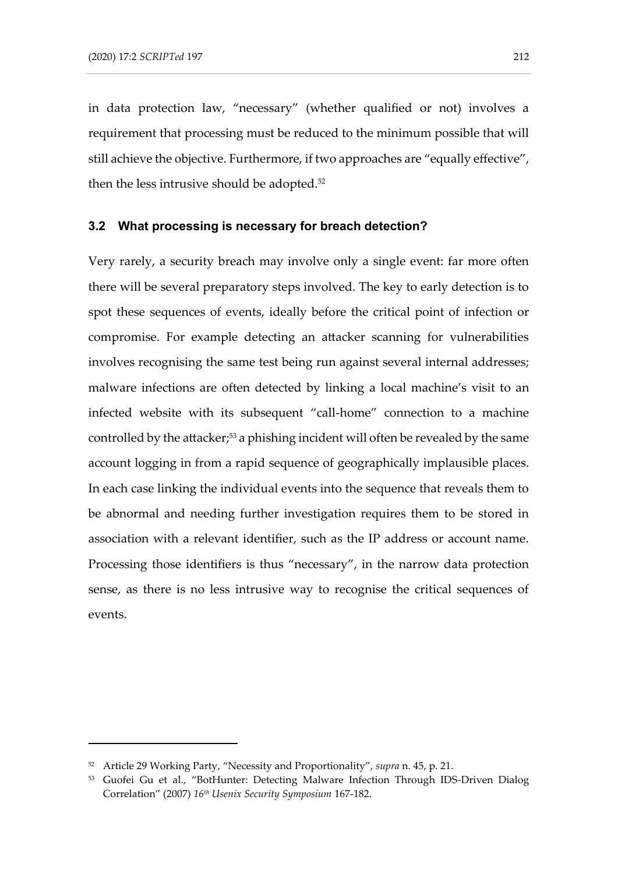in data protection law, "necessary" (whether qualified or not) involves a requirement that processing must be reduced to the minimum possible that will still achieve the objective. Furthermore, if two approaches are "equally effective", then the less intrusive should be adopted.<sup>52</sup>

#### **3.2 What processing is necessary for breach detection?**

Very rarely, a security breach may involve only a single event: far more often there will be several preparatory steps involved. The key to early detection is to spot these sequences of events, ideally before the critical point of infection or compromise. For example detecting an attacker scanning for vulnerabilities involves recognising the same test being run against several internal addresses; malware infections are often detected by linking a local machine's visit to an infected website with its subsequent "call-home" connection to a machine controlled by the attacker;<sup>53</sup> a phishing incident will often be revealed by the same account logging in from a rapid sequence of geographically implausible places. In each case linking the individual events into the sequence that reveals them to be abnormal and needing further investigation requires them to be stored in association with a relevant identifier, such as the IP address or account name. Processing those identifiers is thus "necessary", in the narrow data protection sense, as there is no less intrusive way to recognise the critical sequences of events.

<sup>52</sup> Article 29 Working Party, "Necessity and Proportionality", *supra* n. [45,](#page-13-0) p. 21.

<sup>&</sup>lt;sup>53</sup> Guofei Gu et al., "BotHunter: Detecting Malware Infection Through IDS-Driven Dialog Correlation" (2007) *16th Usenix Security Symposium* 167-182.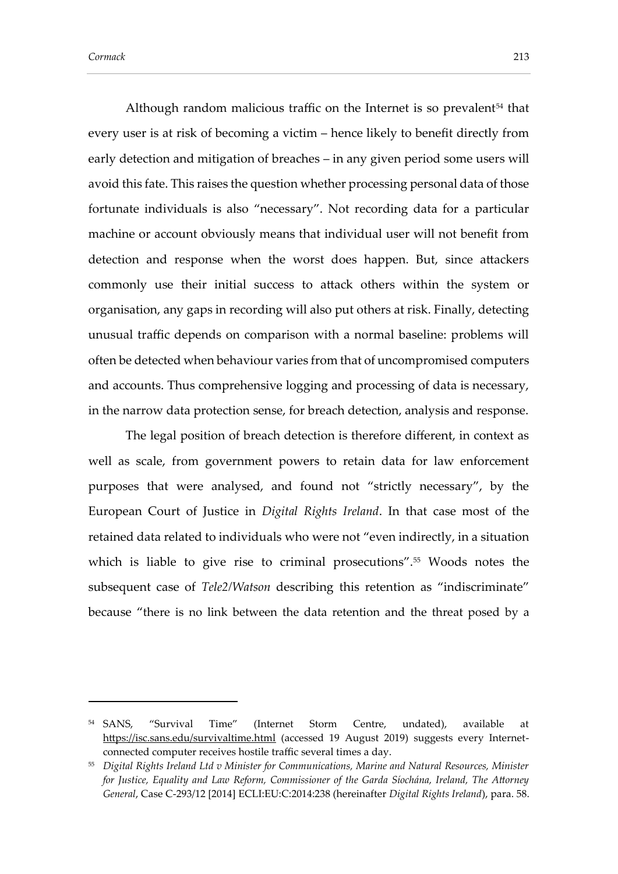Although random malicious traffic on the Internet is so prevalent<sup>54</sup> that every user is at risk of becoming a victim – hence likely to benefit directly from early detection and mitigation of breaches – in any given period some users will avoid this fate. This raises the question whether processing personal data of those fortunate individuals is also "necessary". Not recording data for a particular machine or account obviously means that individual user will not benefit from detection and response when the worst does happen. But, since attackers commonly use their initial success to attack others within the system or organisation, any gaps in recording will also put others at risk. Finally, detecting unusual traffic depends on comparison with a normal baseline: problems will often be detected when behaviour varies from that of uncompromised computers and accounts. Thus comprehensive logging and processing of data is necessary, in the narrow data protection sense, for breach detection, analysis and response.

<span id="page-16-0"></span>The legal position of breach detection is therefore different, in context as well as scale, from government powers to retain data for law enforcement purposes that were analysed, and found not "strictly necessary", by the European Court of Justice in *Digital Rights Ireland*. In that case most of the retained data related to individuals who were not "even indirectly, in a situation which is liable to give rise to criminal prosecutions".<sup>55</sup> Woods notes the subsequent case of *Tele2/Watson* describing this retention as "indiscriminate" because "there is no link between the data retention and the threat posed by a

<sup>54</sup> SANS, "Survival Time" (Internet Storm Centre, undated), available at <https://isc.sans.edu/survivaltime.html> (accessed 19 August 2019) suggests every Internetconnected computer receives hostile traffic several times a day.

<sup>55</sup> *Digital Rights Ireland Ltd v Minister for Communications, Marine and Natural Resources, Minister for Justice, Equality and Law Reform, Commissioner of the Garda Síochána, Ireland, The Attorney General*, Case C-293/12 [2014] ECLI:EU:C:2014:238 (hereinafter *Digital Rights Ireland*), para. 58.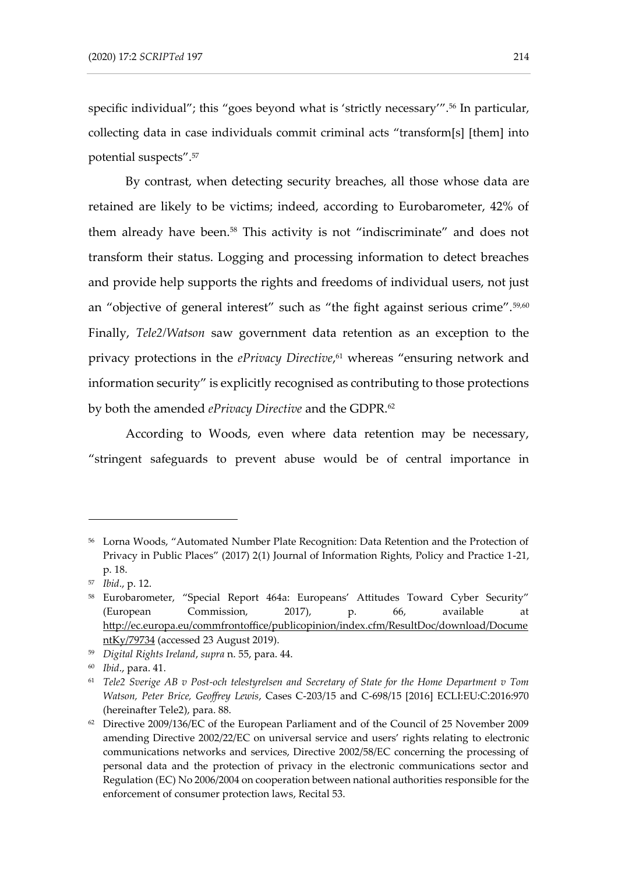<span id="page-17-0"></span>specific individual"; this "goes beyond what is 'strictly necessary'".<sup>56</sup> In particular, collecting data in case individuals commit criminal acts "transform[s] [them] into potential suspects".<sup>57</sup>

By contrast, when detecting security breaches, all those whose data are retained are likely to be victims; indeed, according to Eurobarometer, 42% of them already have been.<sup>58</sup> This activity is not "indiscriminate" and does not transform their status. Logging and processing information to detect breaches and provide help supports the rights and freedoms of individual users, not just an "objective of general interest" such as "the fight against serious crime".<sup>59,60</sup> Finally, *Tele2/Watson* saw government data retention as an exception to the privacy protections in the *ePrivacy Directive*, <sup>61</sup> whereas "ensuring network and information security" is explicitly recognised as contributing to those protections by both the amended *ePrivacy Directive* and the GDPR.<sup>62</sup>

According to Woods, even where data retention may be necessary, "stringent safeguards to prevent abuse would be of central importance in

<sup>56</sup> Lorna Woods, "Automated Number Plate Recognition: Data Retention and the Protection of Privacy in Public Places" (2017) 2(1) Journal of Information Rights, Policy and Practice 1-21, p. 18.

<sup>57</sup> *Ibid*., p. 12.

<sup>58</sup> Eurobarometer, "Special Report 464a: Europeans' Attitudes Toward Cyber Security" (European Commission, 2017), p. 66, available at [http://ec.europa.eu/commfrontoffice/publicopinion/index.cfm/ResultDoc/download/Docume](http://ec.europa.eu/commfrontoffice/publicopinion/index.cfm/ResultDoc/download/DocumentKy/79734) [ntKy/79734](http://ec.europa.eu/commfrontoffice/publicopinion/index.cfm/ResultDoc/download/DocumentKy/79734) (accessed 23 August 2019).

<sup>59</sup> *Digital Rights Ireland*, *supra* n. [55,](#page-16-0) para. 44.

<sup>60</sup> *Ibid*., para. 41.

<sup>61</sup> *Tele2 Sverige AB v Post-och telestyrelsen and Secretary of State for the Home Department v Tom Watson, Peter Brice, Geoffrey Lewis*, Cases C-203/15 and C-698/15 [2016] ECLI:EU:C:2016:970 (hereinafter Tele2), para. 88.

<sup>62</sup> Directive 2009/136/EC of the European Parliament and of the Council of 25 November 2009 amending Directive 2002/22/EC on universal service and users' rights relating to electronic communications networks and services, Directive 2002/58/EC concerning the processing of personal data and the protection of privacy in the electronic communications sector and Regulation (EC) No 2006/2004 on cooperation between national authorities responsible for the enforcement of consumer protection laws, Recital 53.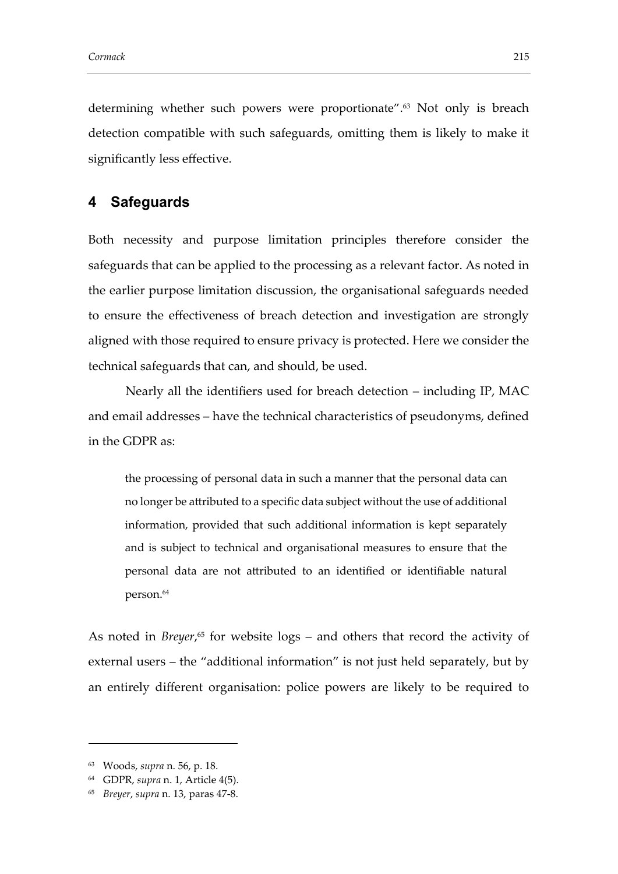determining whether such powers were proportionate". <sup>63</sup> Not only is breach detection compatible with such safeguards, omitting them is likely to make it significantly less effective.

### **4 Safeguards**

Both necessity and purpose limitation principles therefore consider the safeguards that can be applied to the processing as a relevant factor. As noted in the earlier purpose limitation discussion, the organisational safeguards needed to ensure the effectiveness of breach detection and investigation are strongly aligned with those required to ensure privacy is protected. Here we consider the technical safeguards that can, and should, be used.

Nearly all the identifiers used for breach detection – including IP, MAC and email addresses – have the technical characteristics of pseudonyms, defined in the GDPR as:

the processing of personal data in such a manner that the personal data can no longer be attributed to a specific data subject without the use of additional information, provided that such additional information is kept separately and is subject to technical and organisational measures to ensure that the personal data are not attributed to an identified or identifiable natural person.<sup>64</sup>

As noted in *Breyer*, <sup>65</sup> for website logs – and others that record the activity of external users – the "additional information" is not just held separately, but by an entirely different organisation: police powers are likely to be required to

<sup>63</sup> Woods, *supra* n. [56,](#page-17-0) p. 18.

<sup>64</sup> GDPR, *supra* n. [1,](#page-2-0) Article 4(5).

<sup>65</sup> *Breyer*, *supra* n. [13,](#page-5-0) paras 47-8.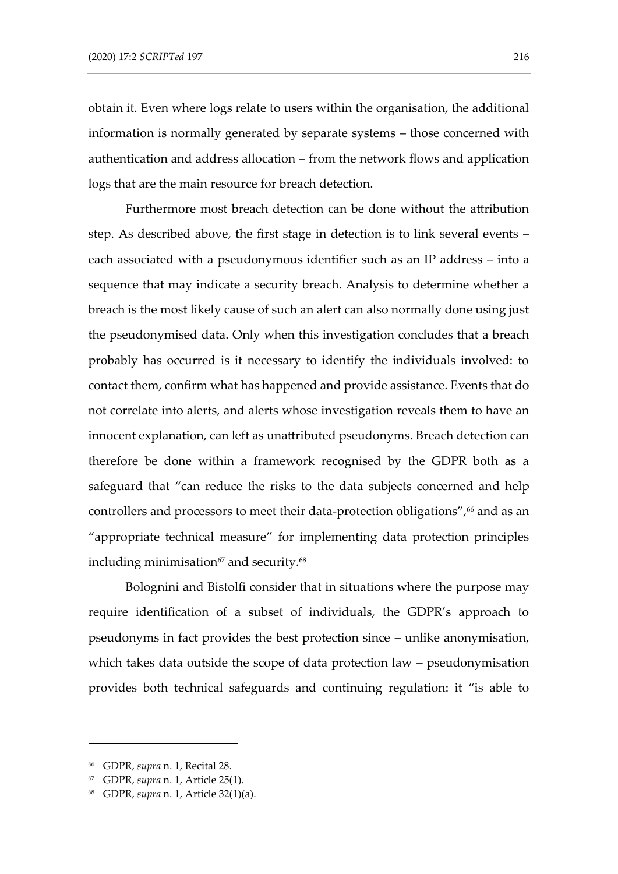obtain it. Even where logs relate to users within the organisation, the additional information is normally generated by separate systems – those concerned with authentication and address allocation – from the network flows and application logs that are the main resource for breach detection.

Furthermore most breach detection can be done without the attribution step. As described above, the first stage in detection is to link several events – each associated with a pseudonymous identifier such as an IP address – into a sequence that may indicate a security breach. Analysis to determine whether a breach is the most likely cause of such an alert can also normally done using just the pseudonymised data. Only when this investigation concludes that a breach probably has occurred is it necessary to identify the individuals involved: to contact them, confirm what has happened and provide assistance. Events that do not correlate into alerts, and alerts whose investigation reveals them to have an innocent explanation, can left as unattributed pseudonyms. Breach detection can therefore be done within a framework recognised by the GDPR both as a safeguard that "can reduce the risks to the data subjects concerned and help controllers and processors to meet their data-protection obligations",<sup>66</sup> and as an "appropriate technical measure" for implementing data protection principles including minimisation<sup>67</sup> and security.<sup>68</sup>

Bolognini and Bistolfi consider that in situations where the purpose may require identification of a subset of individuals, the GDPR's approach to pseudonyms in fact provides the best protection since – unlike anonymisation, which takes data outside the scope of data protection law – pseudonymisation provides both technical safeguards and continuing regulation: it "is able to

<sup>66</sup> GDPR, *supra* n. [1,](#page-2-0) Recital 28.

<sup>67</sup> GDPR, *supra* n. [1,](#page-2-0) Article 25(1).

<sup>68</sup> GDPR, *supra* n. [1,](#page-2-0) Article 32(1)(a).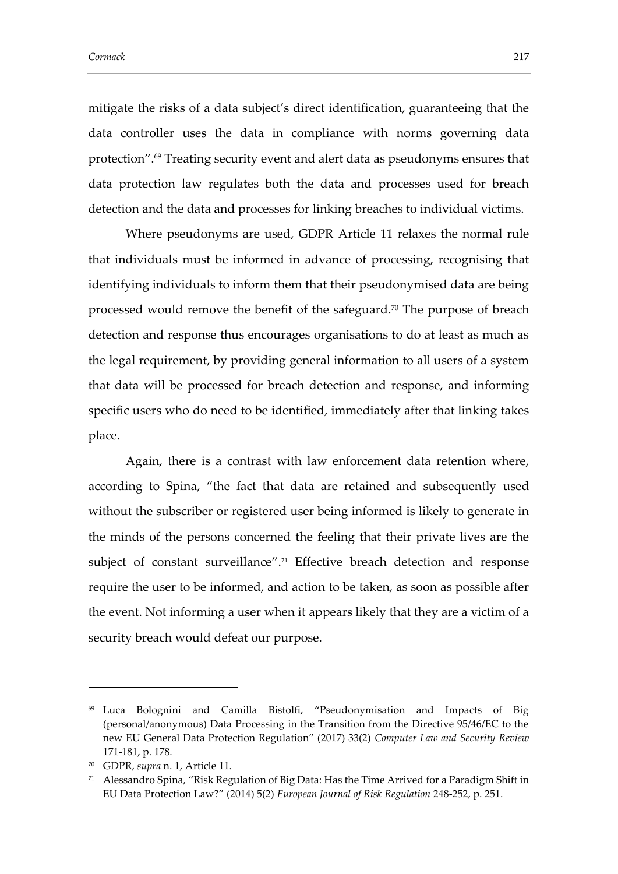<span id="page-20-0"></span>mitigate the risks of a data subject's direct identification, guaranteeing that the data controller uses the data in compliance with norms governing data protection".<sup>69</sup> Treating security event and alert data as pseudonyms ensures that data protection law regulates both the data and processes used for breach detection and the data and processes for linking breaches to individual victims.

Where pseudonyms are used, GDPR Article 11 relaxes the normal rule that individuals must be informed in advance of processing, recognising that identifying individuals to inform them that their pseudonymised data are being processed would remove the benefit of the safeguard.<sup>70</sup> The purpose of breach detection and response thus encourages organisations to do at least as much as the legal requirement, by providing general information to all users of a system that data will be processed for breach detection and response, and informing specific users who do need to be identified, immediately after that linking takes place.

Again, there is a contrast with law enforcement data retention where, according to Spina, "the fact that data are retained and subsequently used without the subscriber or registered user being informed is likely to generate in the minds of the persons concerned the feeling that their private lives are the subject of constant surveillance". <sup>71</sup> Effective breach detection and response require the user to be informed, and action to be taken, as soon as possible after the event. Not informing a user when it appears likely that they are a victim of a security breach would defeat our purpose.

<sup>69</sup> Luca Bolognini and Camilla Bistolfi, "Pseudonymisation and Impacts of Big (personal/anonymous) Data Processing in the Transition from the Directive 95/46/EC to the new EU General Data Protection Regulation" (2017) 33(2) *Computer Law and Security Review* 171-181, p. 178.

<sup>70</sup> GDPR, *supra* n. [1,](#page-2-0) Article 11.

<sup>71</sup> Alessandro Spina, "Risk Regulation of Big Data: Has the Time Arrived for a Paradigm Shift in EU Data Protection Law?" (2014) 5(2) *European Journal of Risk Regulation* 248-252, p. 251.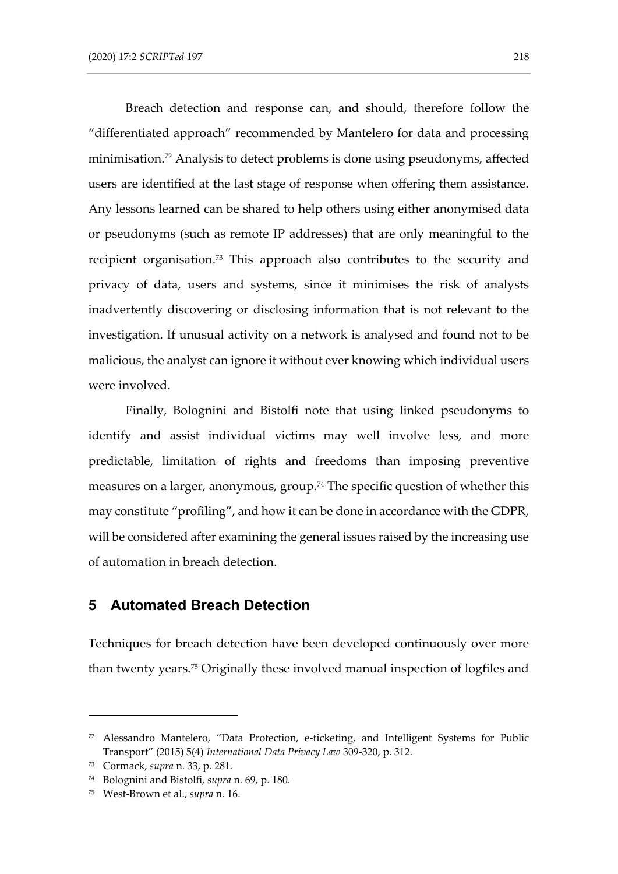Breach detection and response can, and should, therefore follow the "differentiated approach" recommended by Mantelero for data and processing minimisation.<sup>72</sup> Analysis to detect problems is done using pseudonyms, affected users are identified at the last stage of response when offering them assistance. Any lessons learned can be shared to help others using either anonymised data or pseudonyms (such as remote IP addresses) that are only meaningful to the recipient organisation.<sup>73</sup> This approach also contributes to the security and privacy of data, users and systems, since it minimises the risk of analysts inadvertently discovering or disclosing information that is not relevant to the investigation. If unusual activity on a network is analysed and found not to be malicious, the analyst can ignore it without ever knowing which individual users were involved.

Finally, Bolognini and Bistolfi note that using linked pseudonyms to identify and assist individual victims may well involve less, and more predictable, limitation of rights and freedoms than imposing preventive measures on a larger, anonymous, group.<sup>74</sup> The specific question of whether this may constitute "profiling", and how it can be done in accordance with the GDPR, will be considered after examining the general issues raised by the increasing use of automation in breach detection.

### **5 Automated Breach Detection**

Techniques for breach detection have been developed continuously over more than twenty years.<sup>75</sup> Originally these involved manual inspection of logfiles and

<sup>72</sup> Alessandro Mantelero, "Data Protection, e-ticketing, and Intelligent Systems for Public Transport" (2015) 5(4) *International Data Privacy Law* 309-320, p. 312.

<sup>73</sup> Cormack, *supra* n[. 33,](#page-9-0) p. 281.

<sup>74</sup> Bolognini and Bistolfi, *supra* n. [69,](#page-20-0) p. 180.

<sup>75</sup> West-Brown et al., *supra* n. [16.](#page-6-0)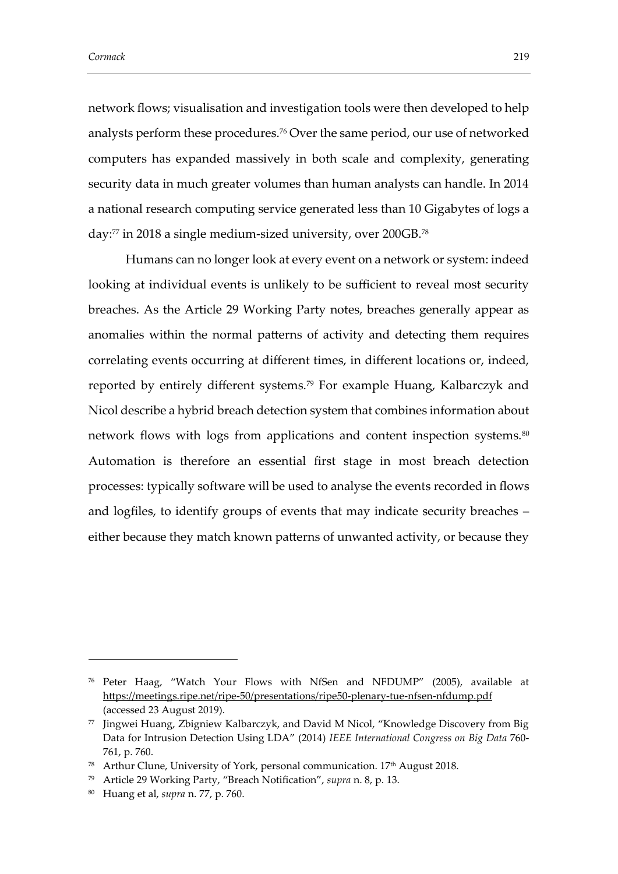network flows; visualisation and investigation tools were then developed to help analysts perform these procedures.<sup>76</sup> Over the same period, our use of networked computers has expanded massively in both scale and complexity, generating security data in much greater volumes than human analysts can handle. In 2014 a national research computing service generated less than 10 Gigabytes of logs a day:<sup>77</sup> in 2018 a single medium-sized university, over 200GB.<sup>78</sup>

<span id="page-22-0"></span>Humans can no longer look at every event on a network or system: indeed looking at individual events is unlikely to be sufficient to reveal most security breaches. As the Article 29 Working Party notes, breaches generally appear as anomalies within the normal patterns of activity and detecting them requires correlating events occurring at different times, in different locations or, indeed, reported by entirely different systems.<sup>79</sup> For example Huang, Kalbarczyk and Nicol describe a hybrid breach detection system that combines information about network flows with logs from applications and content inspection systems.<sup>80</sup> Automation is therefore an essential first stage in most breach detection processes: typically software will be used to analyse the events recorded in flows and logfiles, to identify groups of events that may indicate security breaches – either because they match known patterns of unwanted activity, or because they

<sup>76</sup> Peter Haag, "Watch Your Flows with NfSen and NFDUMP" (2005), available at <https://meetings.ripe.net/ripe-50/presentations/ripe50-plenary-tue-nfsen-nfdump.pdf> (accessed 23 August 2019).

<sup>77</sup> Jingwei Huang, Zbigniew Kalbarczyk, and David M Nicol, "Knowledge Discovery from Big Data for Intrusion Detection Using LDA" (2014) *IEEE International Congress on Big Data* 760- 761, p. 760.

<sup>78</sup> Arthur Clune, University of York, personal communication. 17<sup>th</sup> August 2018.

<sup>79</sup> Article 29 Working Party, "Breach Notification", *supra* n. [8,](#page-4-0) p. 13.

<sup>80</sup> Huang et al, *supra* n. [77,](#page-22-0) p. 760.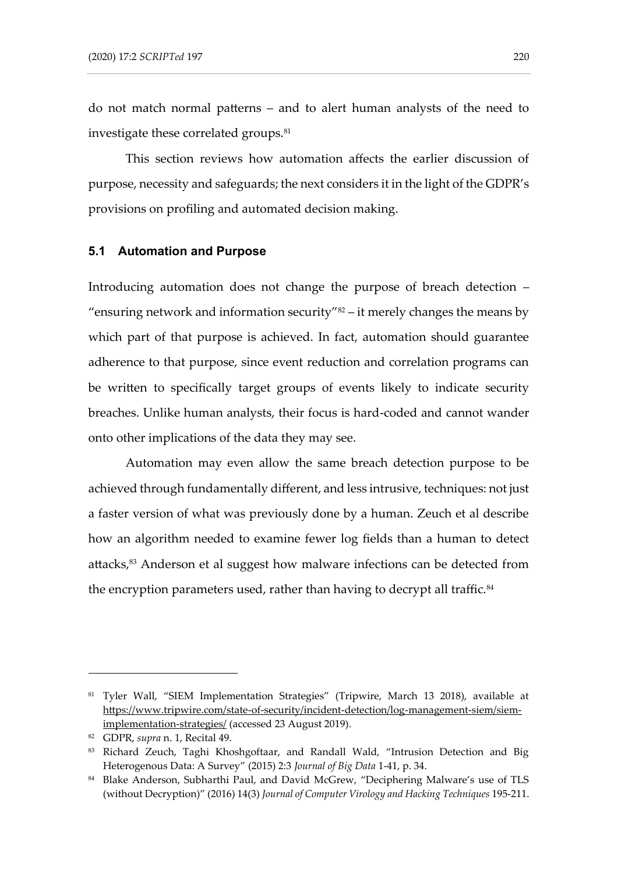<span id="page-23-1"></span>do not match normal patterns – and to alert human analysts of the need to investigate these correlated groups.<sup>81</sup>

This section reviews how automation affects the earlier discussion of purpose, necessity and safeguards; the next considers it in the light of the GDPR's provisions on profiling and automated decision making.

#### **5.1 Automation and Purpose**

Introducing automation does not change the purpose of breach detection – "ensuring network and information security" $82 -$  it merely changes the means by which part of that purpose is achieved. In fact, automation should guarantee adherence to that purpose, since event reduction and correlation programs can be written to specifically target groups of events likely to indicate security breaches. Unlike human analysts, their focus is hard-coded and cannot wander onto other implications of the data they may see.

<span id="page-23-0"></span>Automation may even allow the same breach detection purpose to be achieved through fundamentally different, and less intrusive, techniques: not just a faster version of what was previously done by a human. Zeuch et al describe how an algorithm needed to examine fewer log fields than a human to detect attacks,<sup>83</sup> Anderson et al suggest how malware infections can be detected from the encryption parameters used, rather than having to decrypt all traffic. $^{84}$ 

<sup>81</sup> Tyler Wall, "SIEM Implementation Strategies" (Tripwire, March 13 2018), available at [https://www.tripwire.com/state-of-security/incident-detection/log-management-siem/siem](https://www.tripwire.com/state-of-security/incident-detection/log-management-siem/siem-implementation-strategies/)[implementation-strategies/](https://www.tripwire.com/state-of-security/incident-detection/log-management-siem/siem-implementation-strategies/) (accessed 23 August 2019).

<sup>82</sup> GDPR, *supra* n. [1,](#page-2-0) Recital 49.

<sup>83</sup> Richard Zeuch, Taghi Khoshgoftaar, and Randall Wald, "Intrusion Detection and Big Heterogenous Data: A Survey" (2015) 2:3 *Journal of Big Data* 1-41, p. 34.

<sup>84</sup> Blake Anderson, Subharthi Paul, and David McGrew, "Deciphering Malware's use of TLS (without Decryption)" (2016) 14(3) *Journal of Computer Virology and Hacking Techniques* 195-211.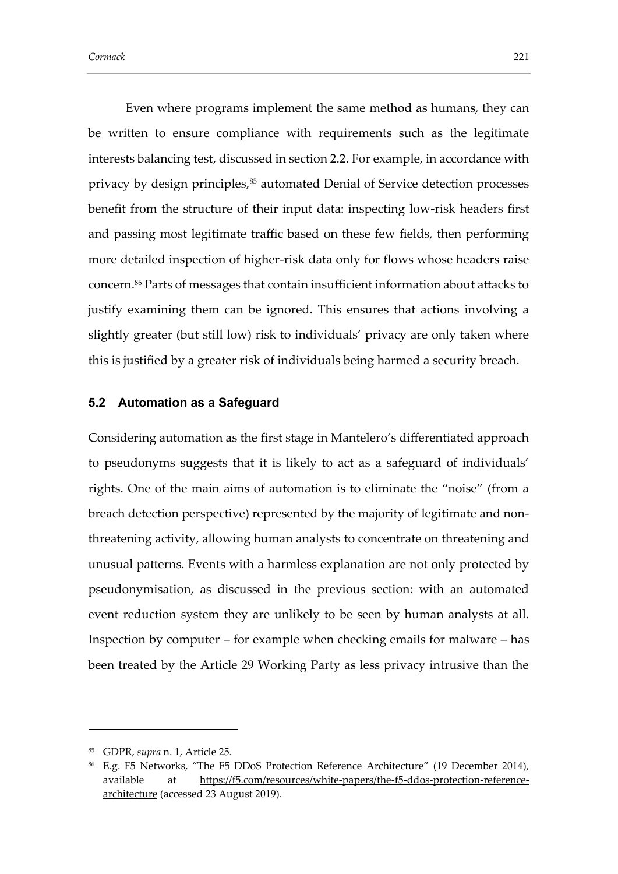Even where programs implement the same method as humans, they can be written to ensure compliance with requirements such as the legitimate interests balancing test, discussed in section 2.2. For example, in accordance with privacy by design principles,<sup>85</sup> automated Denial of Service detection processes benefit from the structure of their input data: inspecting low-risk headers first and passing most legitimate traffic based on these few fields, then performing more detailed inspection of higher-risk data only for flows whose headers raise concern. <sup>86</sup> Parts of messages that contain insufficient information about attacks to justify examining them can be ignored. This ensures that actions involving a slightly greater (but still low) risk to individuals' privacy are only taken where this is justified by a greater risk of individuals being harmed a security breach.

### **5.2 Automation as a Safeguard**

Considering automation as the first stage in Mantelero's differentiated approach to pseudonyms suggests that it is likely to act as a safeguard of individuals' rights. One of the main aims of automation is to eliminate the "noise" (from a breach detection perspective) represented by the majority of legitimate and nonthreatening activity, allowing human analysts to concentrate on threatening and unusual patterns. Events with a harmless explanation are not only protected by pseudonymisation, as discussed in the previous section: with an automated event reduction system they are unlikely to be seen by human analysts at all. Inspection by computer – for example when checking emails for malware – has been treated by the Article 29 Working Party as less privacy intrusive than the

<sup>85</sup> GDPR, *supra* n. [1,](#page-2-0) Article 25.

<sup>86</sup> E.g. F5 Networks, "The F5 DDoS Protection Reference Architecture" (19 December 2014), available at [https://f5.com/resources/white-papers/the-f5-ddos-protection-reference](https://f5.com/resources/white-papers/the-f5-ddos-protection-reference-architecture)[architecture](https://f5.com/resources/white-papers/the-f5-ddos-protection-reference-architecture) (accessed 23 August 2019).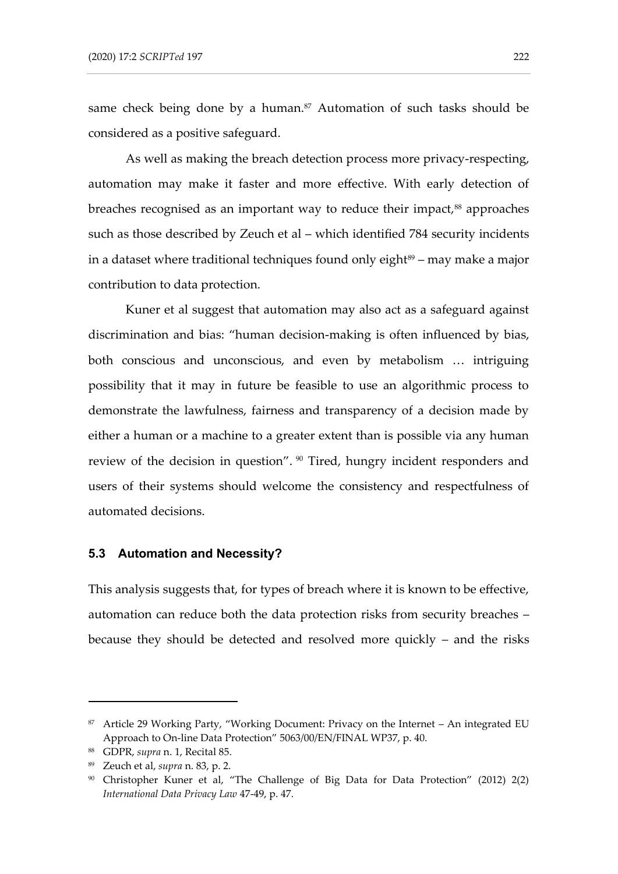same check being done by a human.<sup>87</sup> Automation of such tasks should be considered as a positive safeguard.

As well as making the breach detection process more privacy-respecting, automation may make it faster and more effective. With early detection of breaches recognised as an important way to reduce their impact,<sup>88</sup> approaches such as those described by Zeuch et al – which identified 784 security incidents in a dataset where traditional techniques found only eight $89 -$  may make a major contribution to data protection.

Kuner et al suggest that automation may also act as a safeguard against discrimination and bias: "human decision-making is often influenced by bias, both conscious and unconscious, and even by metabolism … intriguing possibility that it may in future be feasible to use an algorithmic process to demonstrate the lawfulness, fairness and transparency of a decision made by either a human or a machine to a greater extent than is possible via any human review of the decision in question". <sup>90</sup> Tired, hungry incident responders and users of their systems should welcome the consistency and respectfulness of automated decisions.

#### **5.3 Automation and Necessity?**

This analysis suggests that, for types of breach where it is known to be effective, automation can reduce both the data protection risks from security breaches – because they should be detected and resolved more quickly – and the risks

<sup>87</sup> Article 29 Working Party, "Working Document: Privacy on the Internet – An integrated EU Approach to On-line Data Protection" 5063/00/EN/FINAL WP37, p. 40.

<sup>88</sup> GDPR, *supra* n. [1,](#page-2-0) Recital 85.

<sup>89</sup> Zeuch et al, *supra* n. [83,](#page-23-0) p. 2.

<sup>90</sup> Christopher Kuner et al, "The Challenge of Big Data for Data Protection" (2012) 2(2) *International Data Privacy Law* 47-49, p. 47.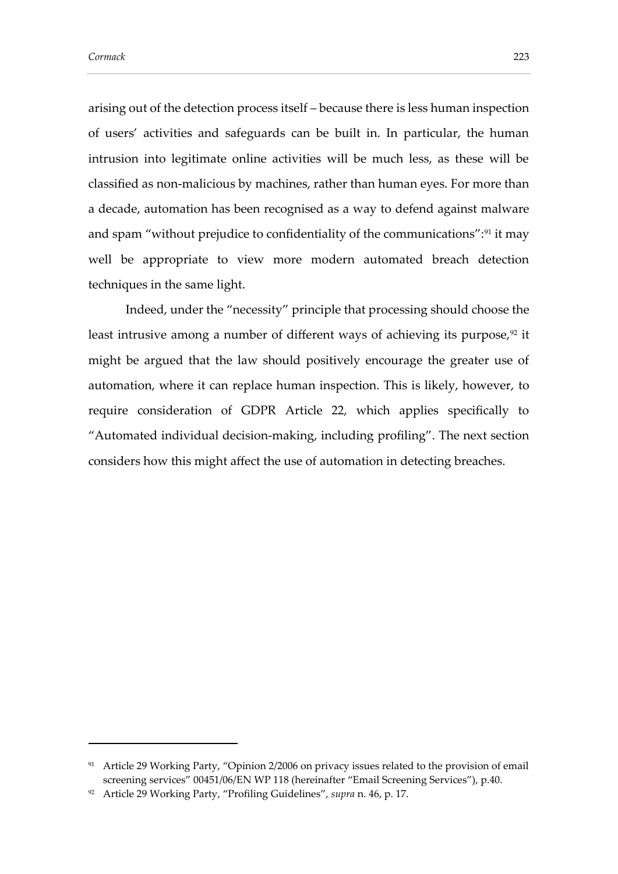arising out of the detection process itself – because there is less human inspection of users' activities and safeguards can be built in. In particular, the human intrusion into legitimate online activities will be much less, as these will be classified as non-malicious by machines, rather than human eyes. For more than a decade, automation has been recognised as a way to defend against malware and spam "without prejudice to confidentiality of the communications":<sup>91</sup> it may well be appropriate to view more modern automated breach detection techniques in the same light.

<span id="page-26-0"></span>Indeed, under the "necessity" principle that processing should choose the least intrusive among a number of different ways of achieving its purpose,<sup>92</sup> it might be argued that the law should positively encourage the greater use of automation, where it can replace human inspection. This is likely, however, to require consideration of GDPR Article 22, which applies specifically to "Automated individual decision-making, including profiling". The next section considers how this might affect the use of automation in detecting breaches.

<sup>&</sup>lt;sup>91</sup> Article 29 Working Party, "Opinion 2/2006 on privacy issues related to the provision of email screening services" 00451/06/EN WP 118 (hereinafter "Email Screening Services"), p.40.

<sup>92</sup> Article 29 Working Party, "Profiling Guidelines", *supra* n. [46,](#page-14-0) p. 17.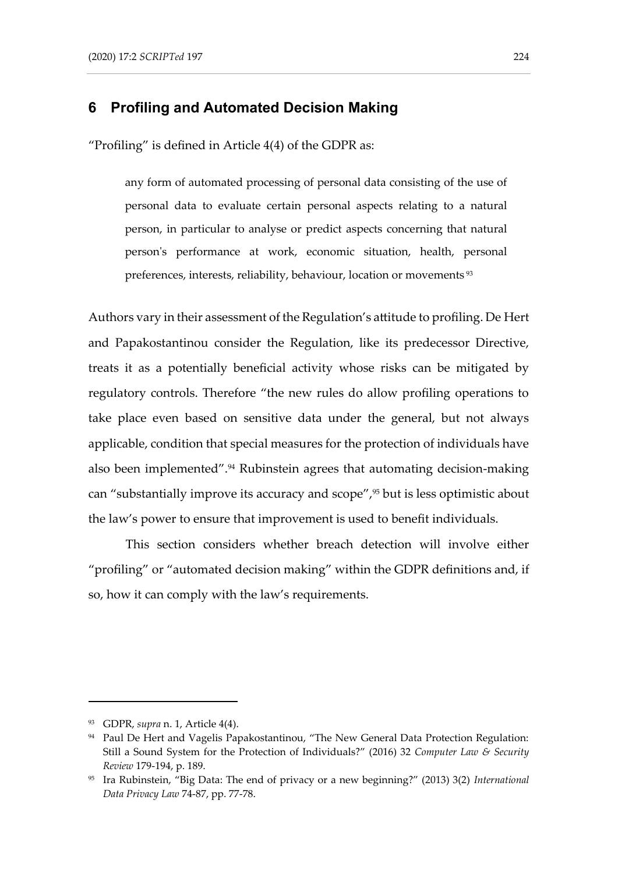### **6 Profiling and Automated Decision Making**

"Profiling" is defined in Article 4(4) of the GDPR as:

any form of automated processing of personal data consisting of the use of personal data to evaluate certain personal aspects relating to a natural person, in particular to analyse or predict aspects concerning that natural person's performance at work, economic situation, health, personal preferences, interests, reliability, behaviour, location or movements <sup>93</sup>

Authors vary in their assessment of the Regulation's attitude to profiling. De Hert and Papakostantinou consider the Regulation, like its predecessor Directive, treats it as a potentially beneficial activity whose risks can be mitigated by regulatory controls. Therefore "the new rules do allow profiling operations to take place even based on sensitive data under the general, but not always applicable, condition that special measures for the protection of individuals have also been implemented".<sup>94</sup> Rubinstein agrees that automating decision-making can "substantially improve its accuracy and scope",<sup>95</sup> but is less optimistic about the law's power to ensure that improvement is used to benefit individuals.

<span id="page-27-1"></span><span id="page-27-0"></span>This section considers whether breach detection will involve either "profiling" or "automated decision making" within the GDPR definitions and, if so, how it can comply with the law's requirements.

<sup>93</sup> GDPR, *supra* n. [1,](#page-2-0) Article 4(4).

<sup>&</sup>lt;sup>94</sup> Paul De Hert and Vagelis Papakostantinou, "The New General Data Protection Regulation: Still a Sound System for the Protection of Individuals?" (2016) 32 *Computer Law & Security Review* 179-194, p. 189.

<sup>95</sup> Ira Rubinstein, "Big Data: The end of privacy or a new beginning?" (2013) 3(2) *International Data Privacy Law* 74-87, pp. 77-78.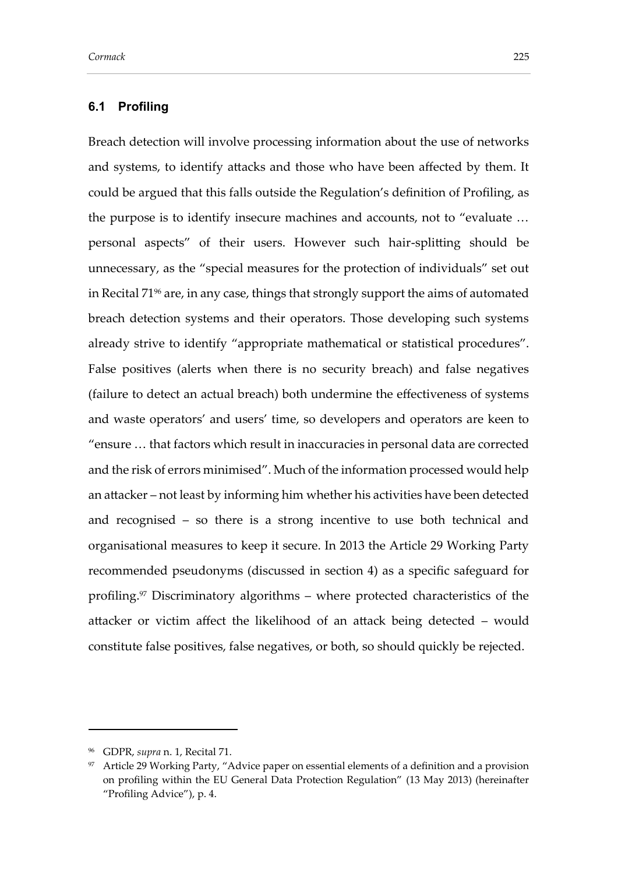Breach detection will involve processing information about the use of networks and systems, to identify attacks and those who have been affected by them. It could be argued that this falls outside the Regulation's definition of Profiling, as the purpose is to identify insecure machines and accounts, not to "evaluate … personal aspects" of their users. However such hair-splitting should be unnecessary, as the "special measures for the protection of individuals" set out in Recital 71<sup>96</sup> are, in any case, things that strongly support the aims of automated breach detection systems and their operators. Those developing such systems already strive to identify "appropriate mathematical or statistical procedures". False positives (alerts when there is no security breach) and false negatives (failure to detect an actual breach) both undermine the effectiveness of systems and waste operators' and users' time, so developers and operators are keen to "ensure … that factors which result in inaccuracies in personal data are corrected and the risk of errors minimised". Much of the information processed would help an attacker – not least by informing him whether his activities have been detected and recognised – so there is a strong incentive to use both technical and organisational measures to keep it secure. In 2013 the Article 29 Working Party recommended pseudonyms (discussed in section 4) as a specific safeguard for profiling.<sup>97</sup> Discriminatory algorithms – where protected characteristics of the attacker or victim affect the likelihood of an attack being detected – would constitute false positives, false negatives, or both, so should quickly be rejected.

<span id="page-28-0"></span><sup>96</sup> GDPR, *supra* n. [1,](#page-2-0) Recital 71.

<sup>97</sup> Article 29 Working Party, "Advice paper on essential elements of a definition and a provision on profiling within the EU General Data Protection Regulation" (13 May 2013) (hereinafter "Profiling Advice"), p. 4.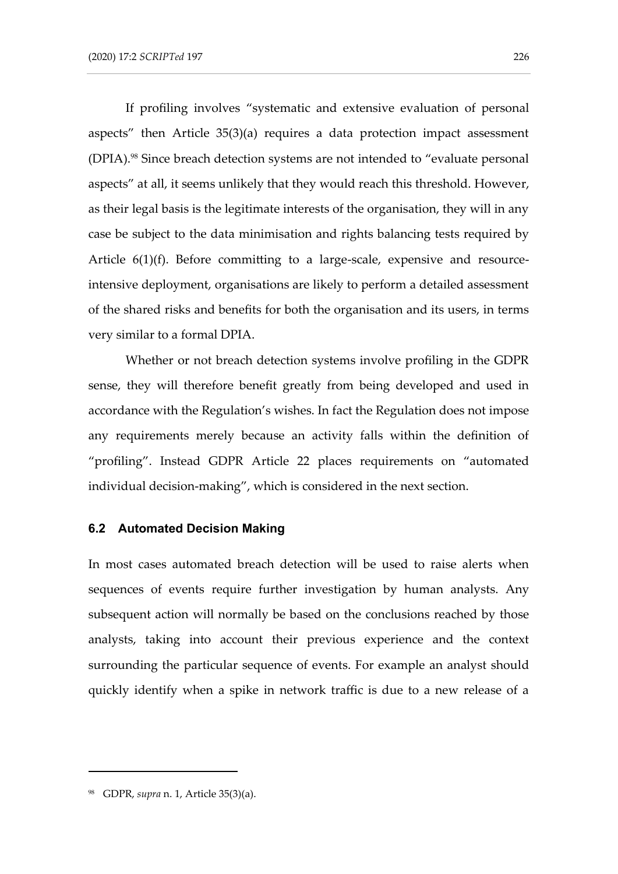If profiling involves "systematic and extensive evaluation of personal aspects" then Article 35(3)(a) requires a data protection impact assessment (DPIA).<sup>98</sup> Since breach detection systems are not intended to "evaluate personal aspects" at all, it seems unlikely that they would reach this threshold. However, as their legal basis is the legitimate interests of the organisation, they will in any case be subject to the data minimisation and rights balancing tests required by Article 6(1)(f). Before committing to a large-scale, expensive and resourceintensive deployment, organisations are likely to perform a detailed assessment of the shared risks and benefits for both the organisation and its users, in terms very similar to a formal DPIA.

Whether or not breach detection systems involve profiling in the GDPR sense, they will therefore benefit greatly from being developed and used in accordance with the Regulation's wishes. In fact the Regulation does not impose any requirements merely because an activity falls within the definition of "profiling". Instead GDPR Article 22 places requirements on "automated individual decision-making", which is considered in the next section.

#### **6.2 Automated Decision Making**

In most cases automated breach detection will be used to raise alerts when sequences of events require further investigation by human analysts. Any subsequent action will normally be based on the conclusions reached by those analysts, taking into account their previous experience and the context surrounding the particular sequence of events. For example an analyst should quickly identify when a spike in network traffic is due to a new release of a

<sup>98</sup> GDPR, *supra* n. [1,](#page-2-0) Article 35(3)(a).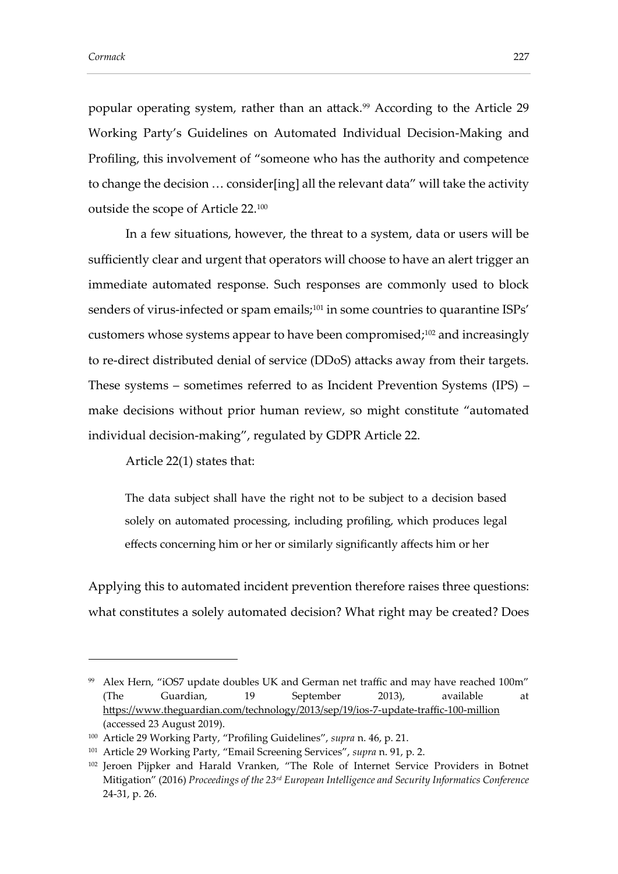popular operating system, rather than an attack.<sup>99</sup> According to the Article 29 Working Party's Guidelines on Automated Individual Decision-Making and Profiling, this involvement of "someone who has the authority and competence to change the decision … consider[ing] all the relevant data" will take the activity outside the scope of Article 22.<sup>100</sup>

In a few situations, however, the threat to a system, data or users will be sufficiently clear and urgent that operators will choose to have an alert trigger an immediate automated response. Such responses are commonly used to block senders of virus-infected or spam emails;<sup>101</sup> in some countries to quarantine ISPs' customers whose systems appear to have been compromised;<sup>102</sup> and increasingly to re-direct distributed denial of service (DDoS) attacks away from their targets. These systems – sometimes referred to as Incident Prevention Systems (IPS) – make decisions without prior human review, so might constitute "automated individual decision-making", regulated by GDPR Article 22.

Article 22(1) states that:

The data subject shall have the right not to be subject to a decision based solely on automated processing, including profiling, which produces legal effects concerning him or her or similarly significantly affects him or her

Applying this to automated incident prevention therefore raises three questions: what constitutes a solely automated decision? What right may be created? Does

<sup>99</sup> Alex Hern, "iOS7 update doubles UK and German net traffic and may have reached 100m" (The Guardian, 19 September 2013), available at <https://www.theguardian.com/technology/2013/sep/19/ios-7-update-traffic-100-million> (accessed 23 August 2019).

<sup>100</sup> Article 29 Working Party, "Profiling Guidelines", *supra* n. [46,](#page-14-0) p. 21.

<sup>101</sup> Article 29 Working Party, "Email Screening Services", *supra* n. [91,](#page-26-0) p. 2.

<sup>&</sup>lt;sup>102</sup> Jeroen Pijpker and Harald Vranken, "The Role of Internet Service Providers in Botnet Mitigation" (2016) *Proceedings of the 23rd European Intelligence and Security Informatics Conference* 24-31, p. 26.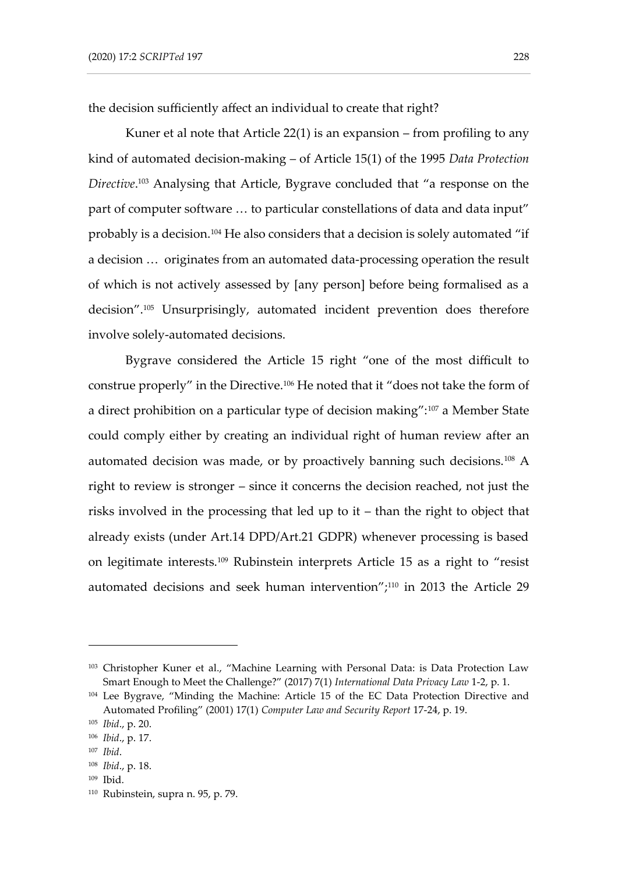the decision sufficiently affect an individual to create that right?

<span id="page-31-0"></span>Kuner et al note that Article 22(1) is an expansion – from profiling to any kind of automated decision-making – of Article 15(1) of the 1995 *Data Protection Directive*. <sup>103</sup> Analysing that Article, Bygrave concluded that "a response on the part of computer software … to particular constellations of data and data input" probably is a decision.<sup>104</sup> He also considers that a decision is solely automated "if a decision … originates from an automated data-processing operation the result of which is not actively assessed by [any person] before being formalised as a decision".<sup>105</sup> Unsurprisingly, automated incident prevention does therefore involve solely-automated decisions.

Bygrave considered the Article 15 right "one of the most difficult to construe properly" in the Directive.<sup>106</sup> He noted that it "does not take the form of a direct prohibition on a particular type of decision making":<sup>107</sup> a Member State could comply either by creating an individual right of human review after an automated decision was made, or by proactively banning such decisions.<sup>108</sup> A right to review is stronger – since it concerns the decision reached, not just the risks involved in the processing that led up to it – than the right to object that already exists (under Art.14 DPD/Art.21 GDPR) whenever processing is based on legitimate interests.<sup>109</sup> Rubinstein interprets Article 15 as a right to "resist automated decisions and seek human intervention"; $110$  in 2013 the Article 29

<sup>103</sup> Christopher Kuner et al., "Machine Learning with Personal Data: is Data Protection Law Smart Enough to Meet the Challenge?" (2017) 7(1) *International Data Privacy Law* 1-2, p. 1.

<sup>&</sup>lt;sup>104</sup> Lee Bygrave, "Minding the Machine: Article 15 of the EC Data Protection Directive and Automated Profiling" (2001) 17(1) *Computer Law and Security Report* 17-24, p. 19.

<sup>105</sup> *Ibid*., p. 20.

<sup>106</sup> *Ibid*., p. 17.

<sup>107</sup> *Ibid*.

<sup>108</sup> *Ibid*., p. 18.

<sup>109</sup> Ibid.

<sup>110</sup> Rubinstein, supra n. [95,](#page-27-0) p. 79.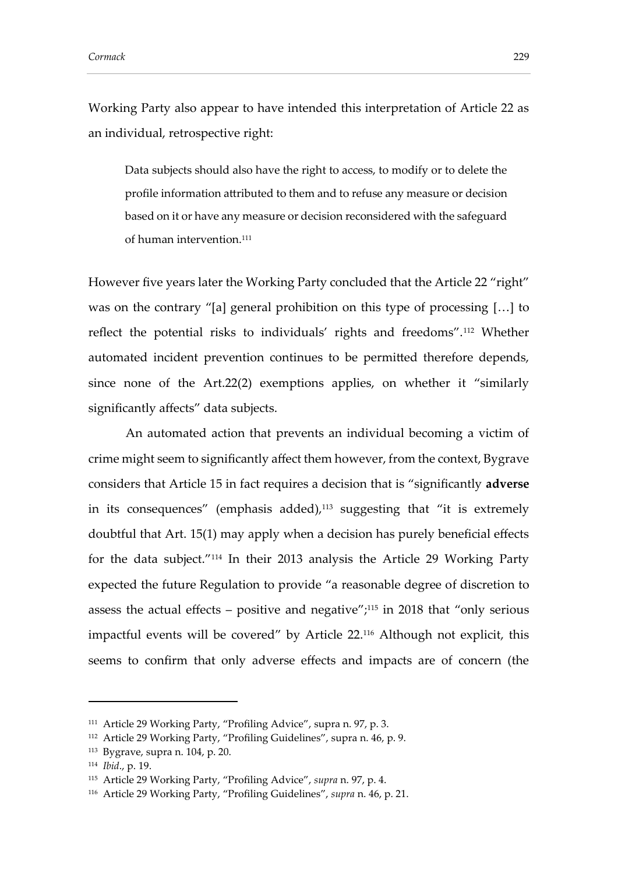Working Party also appear to have intended this interpretation of Article 22 as an individual, retrospective right:

Data subjects should also have the right to access, to modify or to delete the profile information attributed to them and to refuse any measure or decision based on it or have any measure or decision reconsidered with the safeguard of human intervention.<sup>111</sup>

However five years later the Working Party concluded that the Article 22 "right" was on the contrary "[a] general prohibition on this type of processing […] to reflect the potential risks to individuals' rights and freedoms".<sup>112</sup> Whether automated incident prevention continues to be permitted therefore depends, since none of the Art.22(2) exemptions applies, on whether it "similarly significantly affects" data subjects.

An automated action that prevents an individual becoming a victim of crime might seem to significantly affect them however, from the context, Bygrave considers that Article 15 in fact requires a decision that is "significantly **adverse** in its consequences" (emphasis added), <sup>113</sup> suggesting that "it is extremely doubtful that Art. 15(1) may apply when a decision has purely beneficial effects for the data subject."<sup>114</sup> In their 2013 analysis the Article 29 Working Party expected the future Regulation to provide "a reasonable degree of discretion to assess the actual effects – positive and negative"; $^{115}$  in 2018 that "only serious impactful events will be covered" by Article 22.<sup>116</sup> Although not explicit, this seems to confirm that only adverse effects and impacts are of concern (the

<sup>111</sup> Article 29 Working Party, "Profiling Advice", supra n. [97,](#page-28-0) p. 3.

<sup>112</sup> Article 29 Working Party, "Profiling Guidelines", supra n. [46,](#page-14-0) p. 9.

<sup>113</sup> Bygrave, supra n. [104,](#page-31-0) p. 20.

<sup>114</sup> *Ibid*., p. 19.

<sup>115</sup> Article 29 Working Party, "Profiling Advice", *supra* n. [97,](#page-28-0) p. 4.

<sup>116</sup> Article 29 Working Party, "Profiling Guidelines", *supra* n. [46,](#page-14-0) p. 21.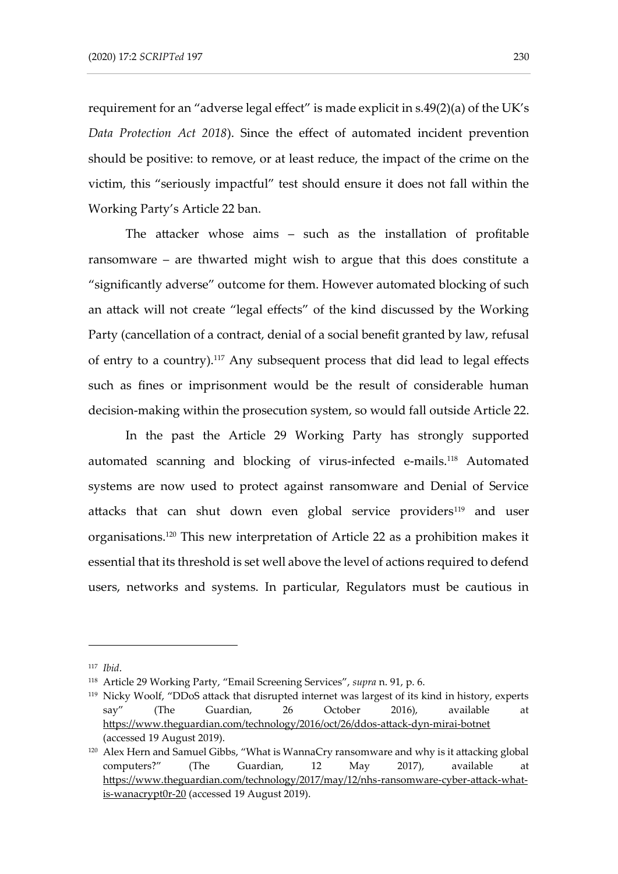requirement for an "adverse legal effect" is made explicit in s.49(2)(a) of the UK's *Data Protection Act 2018*). Since the effect of automated incident prevention should be positive: to remove, or at least reduce, the impact of the crime on the victim, this "seriously impactful" test should ensure it does not fall within the Working Party's Article 22 ban.

The attacker whose aims – such as the installation of profitable ransomware – are thwarted might wish to argue that this does constitute a "significantly adverse" outcome for them. However automated blocking of such an attack will not create "legal effects" of the kind discussed by the Working Party (cancellation of a contract, denial of a social benefit granted by law, refusal of entry to a country).<sup>117</sup> Any subsequent process that did lead to legal effects such as fines or imprisonment would be the result of considerable human decision-making within the prosecution system, so would fall outside Article 22.

In the past the Article 29 Working Party has strongly supported automated scanning and blocking of virus-infected e-mails.<sup>118</sup> Automated systems are now used to protect against ransomware and Denial of Service attacks that can shut down even global service providers<sup>119</sup> and user organisations.<sup>120</sup> This new interpretation of Article 22 as a prohibition makes it essential that its threshold is set well above the level of actions required to defend users, networks and systems. In particular, Regulators must be cautious in

<sup>117</sup> *Ibid*.

<sup>118</sup> Article 29 Working Party, "Email Screening Services", *supra* n. [91,](#page-26-0) p. 6.

<sup>119</sup> Nicky Woolf, "DDoS attack that disrupted internet was largest of its kind in history, experts say" (The Guardian, 26 October 2016), available at <https://www.theguardian.com/technology/2016/oct/26/ddos-attack-dyn-mirai-botnet> (accessed 19 August 2019).

<sup>120</sup> Alex Hern and Samuel Gibbs, "What is WannaCry ransomware and why is it attacking global computers?" (The Guardian, 12 May 2017), available at [https://www.theguardian.com/technology/2017/may/12/nhs-ransomware-cyber-attack-what](https://www.theguardian.com/technology/2017/may/12/nhs-ransomware-cyber-attack-what-is-wanacrypt0r-20)[is-wanacrypt0r-20](https://www.theguardian.com/technology/2017/may/12/nhs-ransomware-cyber-attack-what-is-wanacrypt0r-20) (accessed 19 August 2019).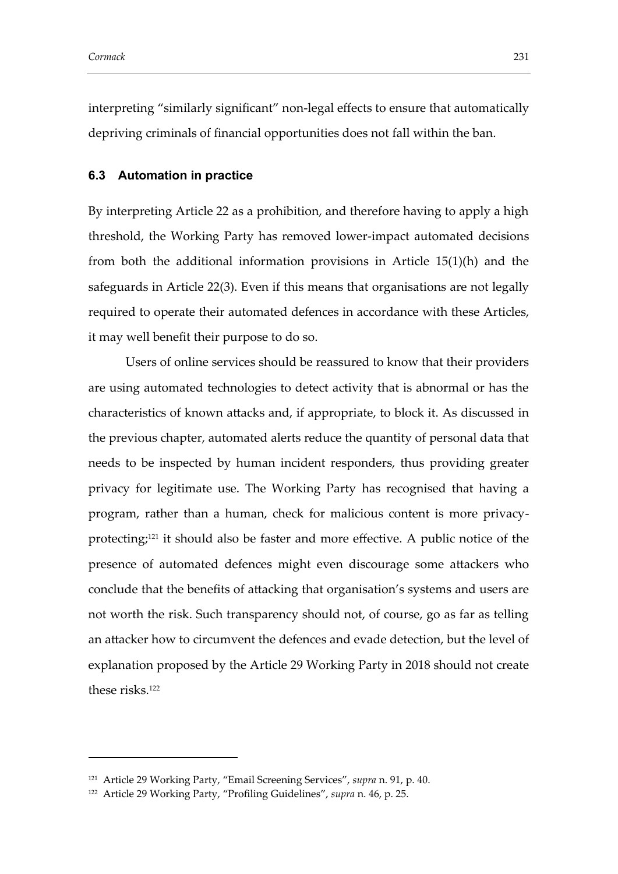interpreting "similarly significant" non-legal effects to ensure that automatically depriving criminals of financial opportunities does not fall within the ban.

### **6.3 Automation in practice**

By interpreting Article 22 as a prohibition, and therefore having to apply a high threshold, the Working Party has removed lower-impact automated decisions from both the additional information provisions in Article 15(1)(h) and the safeguards in Article 22(3). Even if this means that organisations are not legally required to operate their automated defences in accordance with these Articles, it may well benefit their purpose to do so.

Users of online services should be reassured to know that their providers are using automated technologies to detect activity that is abnormal or has the characteristics of known attacks and, if appropriate, to block it. As discussed in the previous chapter, automated alerts reduce the quantity of personal data that needs to be inspected by human incident responders, thus providing greater privacy for legitimate use. The Working Party has recognised that having a program, rather than a human, check for malicious content is more privacyprotecting;<sup>121</sup> it should also be faster and more effective. A public notice of the presence of automated defences might even discourage some attackers who conclude that the benefits of attacking that organisation's systems and users are not worth the risk. Such transparency should not, of course, go as far as telling an attacker how to circumvent the defences and evade detection, but the level of explanation proposed by the Article 29 Working Party in 2018 should not create these risks.<sup>122</sup>

<sup>121</sup> Article 29 Working Party, "Email Screening Services", *supra* n. [91,](#page-26-0) p. 40.

<sup>122</sup> Article 29 Working Party, "Profiling Guidelines", *supra* n. [46,](#page-14-0) p. 25.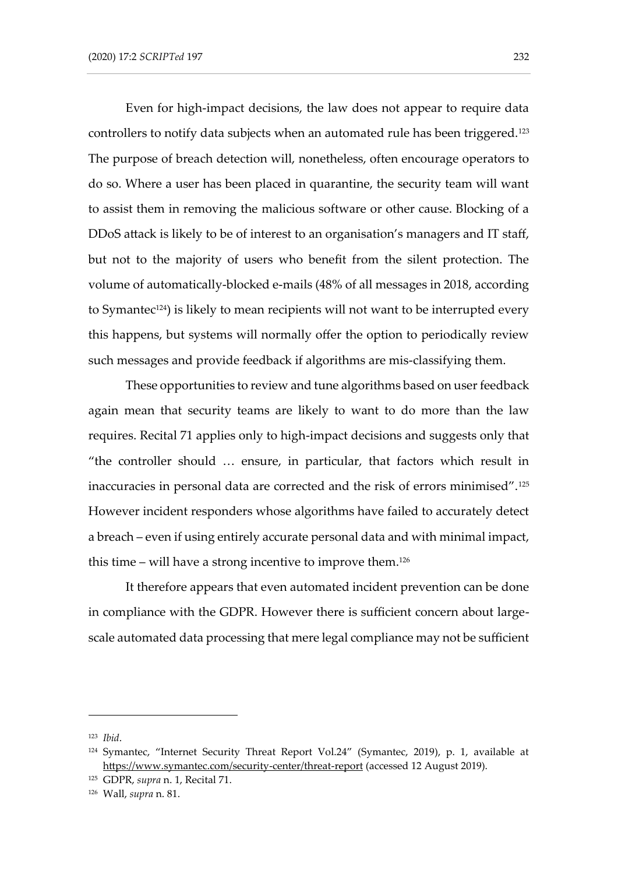Even for high-impact decisions, the law does not appear to require data controllers to notify data subjects when an automated rule has been triggered.<sup>123</sup> The purpose of breach detection will, nonetheless, often encourage operators to do so. Where a user has been placed in quarantine, the security team will want to assist them in removing the malicious software or other cause. Blocking of a DDoS attack is likely to be of interest to an organisation's managers and IT staff, but not to the majority of users who benefit from the silent protection. The volume of automatically-blocked e-mails (48% of all messages in 2018, according to Symantec<sup>124</sup>) is likely to mean recipients will not want to be interrupted every this happens, but systems will normally offer the option to periodically review such messages and provide feedback if algorithms are mis-classifying them.

These opportunities to review and tune algorithms based on user feedback again mean that security teams are likely to want to do more than the law requires. Recital 71 applies only to high-impact decisions and suggests only that "the controller should … ensure, in particular, that factors which result in inaccuracies in personal data are corrected and the risk of errors minimised".<sup>125</sup> However incident responders whose algorithms have failed to accurately detect a breach – even if using entirely accurate personal data and with minimal impact, this time – will have a strong incentive to improve them.<sup>126</sup>

It therefore appears that even automated incident prevention can be done in compliance with the GDPR. However there is sufficient concern about largescale automated data processing that mere legal compliance may not be sufficient

<sup>123</sup> *Ibid*.

<sup>124</sup> Symantec, "Internet Security Threat Report Vol.24" (Symantec, 2019), p. 1, available at <https://www.symantec.com/security-center/threat-report> (accessed 12 August 2019).

<sup>125</sup> GDPR, *supra* n. [1,](#page-2-0) Recital 71.

<sup>126</sup> Wall, *supra* n. [81.](#page-23-1)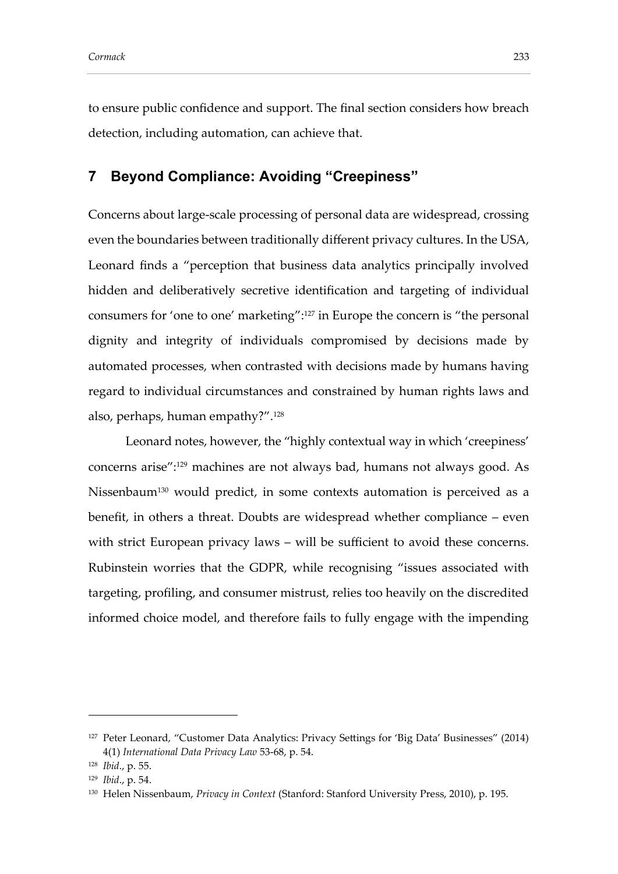to ensure public confidence and support. The final section considers how breach detection, including automation, can achieve that.

### **7 Beyond Compliance: Avoiding "Creepiness"**

Concerns about large-scale processing of personal data are widespread, crossing even the boundaries between traditionally different privacy cultures. In the USA, Leonard finds a "perception that business data analytics principally involved hidden and deliberatively secretive identification and targeting of individual consumers for 'one to one' marketing":<sup>127</sup> in Europe the concern is "the personal dignity and integrity of individuals compromised by decisions made by automated processes, when contrasted with decisions made by humans having regard to individual circumstances and constrained by human rights laws and also, perhaps, human empathy?".<sup>128</sup>

<span id="page-36-0"></span>Leonard notes, however, the "highly contextual way in which 'creepiness' concerns arise":<sup>129</sup> machines are not always bad, humans not always good. As Nissenbaum<sup>130</sup> would predict, in some contexts automation is perceived as a benefit, in others a threat. Doubts are widespread whether compliance – even with strict European privacy laws – will be sufficient to avoid these concerns. Rubinstein worries that the GDPR, while recognising "issues associated with targeting, profiling, and consumer mistrust, relies too heavily on the discredited informed choice model, and therefore fails to fully engage with the impending

<sup>&</sup>lt;sup>127</sup> Peter Leonard, "Customer Data Analytics: Privacy Settings for 'Big Data' Businesses" (2014) 4(1) *International Data Privacy Law* 53-68, p. 54.

<sup>128</sup> *Ibid*., p. 55.

<sup>129</sup> *Ibid*., p. 54.

<sup>130</sup> Helen Nissenbaum, *Privacy in Context* (Stanford: Stanford University Press, 2010), p. 195.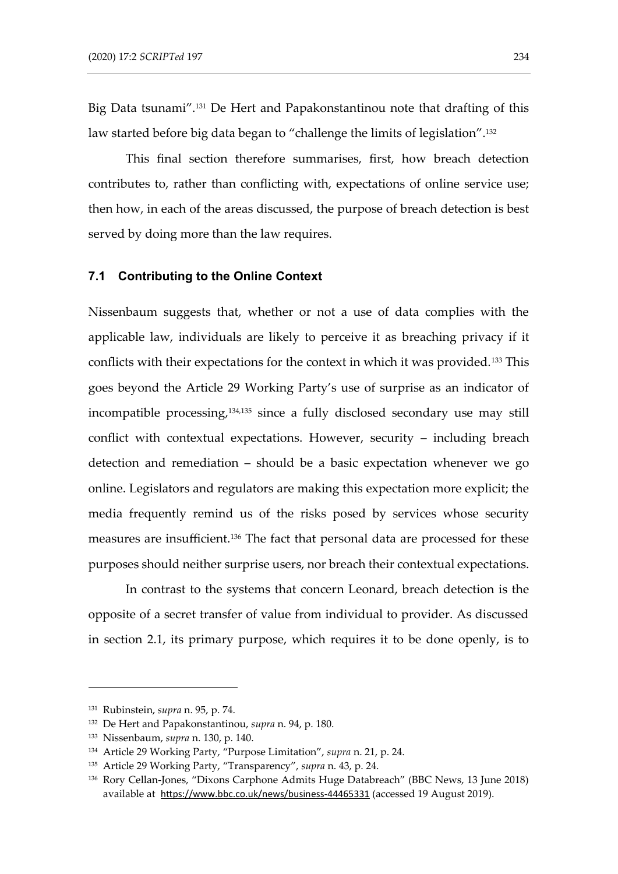Big Data tsunami".<sup>131</sup> De Hert and Papakonstantinou note that drafting of this law started before big data began to "challenge the limits of legislation".<sup>132</sup>

This final section therefore summarises, first, how breach detection contributes to, rather than conflicting with, expectations of online service use; then how, in each of the areas discussed, the purpose of breach detection is best served by doing more than the law requires.

#### **7.1 Contributing to the Online Context**

Nissenbaum suggests that, whether or not a use of data complies with the applicable law, individuals are likely to perceive it as breaching privacy if it conflicts with their expectations for the context in which it was provided.<sup>133</sup> This goes beyond the Article 29 Working Party's use of surprise as an indicator of incompatible processing,<sup>134,135</sup> since a fully disclosed secondary use may still conflict with contextual expectations. However, security – including breach detection and remediation – should be a basic expectation whenever we go online. Legislators and regulators are making this expectation more explicit; the media frequently remind us of the risks posed by services whose security measures are insufficient.<sup>136</sup> The fact that personal data are processed for these purposes should neither surprise users, nor breach their contextual expectations.

In contrast to the systems that concern Leonard, breach detection is the opposite of a secret transfer of value from individual to provider. As discussed in section 2.1, its primary purpose, which requires it to be done openly, is to

<sup>131</sup> Rubinstein, *supra* n. [95,](#page-27-0) p. 74.

<sup>132</sup> De Hert and Papakonstantinou, *supra* n. [94,](#page-27-1) p. 180.

<sup>133</sup> Nissenbaum, *supra* n. [130,](#page-36-0) p. 140.

<sup>134</sup> Article 29 Working Party, "Purpose Limitation", *supra* n. [21,](#page-7-0) p. 24.

<sup>135</sup> Article 29 Working Party, "Transparency", *supra* n[. 43,](#page-13-1) p. 24.

<sup>136</sup> Rory Cellan-Jones, "Dixons Carphone Admits Huge Databreach" (BBC News, 13 June 2018) available at <https://www.bbc.co.uk/news/business-44465331> (accessed 19 August 2019).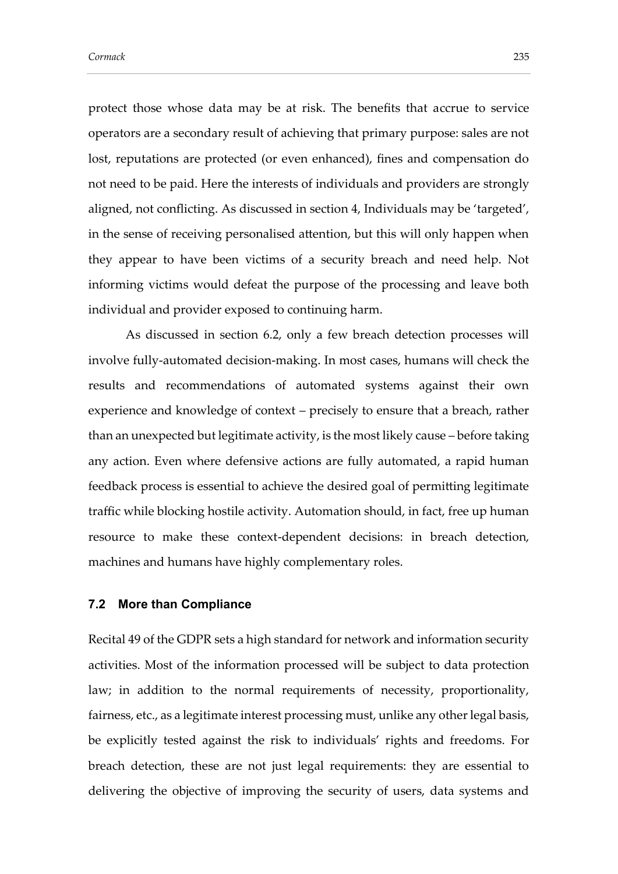protect those whose data may be at risk. The benefits that accrue to service operators are a secondary result of achieving that primary purpose: sales are not lost, reputations are protected (or even enhanced), fines and compensation do not need to be paid. Here the interests of individuals and providers are strongly aligned, not conflicting. As discussed in section 4, Individuals may be 'targeted', in the sense of receiving personalised attention, but this will only happen when they appear to have been victims of a security breach and need help. Not informing victims would defeat the purpose of the processing and leave both individual and provider exposed to continuing harm.

As discussed in section 6.2, only a few breach detection processes will involve fully-automated decision-making. In most cases, humans will check the results and recommendations of automated systems against their own experience and knowledge of context – precisely to ensure that a breach, rather than an unexpected but legitimate activity, is the most likely cause – before taking any action. Even where defensive actions are fully automated, a rapid human feedback process is essential to achieve the desired goal of permitting legitimate traffic while blocking hostile activity. Automation should, in fact, free up human resource to make these context-dependent decisions: in breach detection, machines and humans have highly complementary roles.

#### **7.2 More than Compliance**

Recital 49 of the GDPR sets a high standard for network and information security activities. Most of the information processed will be subject to data protection law; in addition to the normal requirements of necessity, proportionality, fairness, etc., as a legitimate interest processing must, unlike any other legal basis, be explicitly tested against the risk to individuals' rights and freedoms. For breach detection, these are not just legal requirements: they are essential to delivering the objective of improving the security of users, data systems and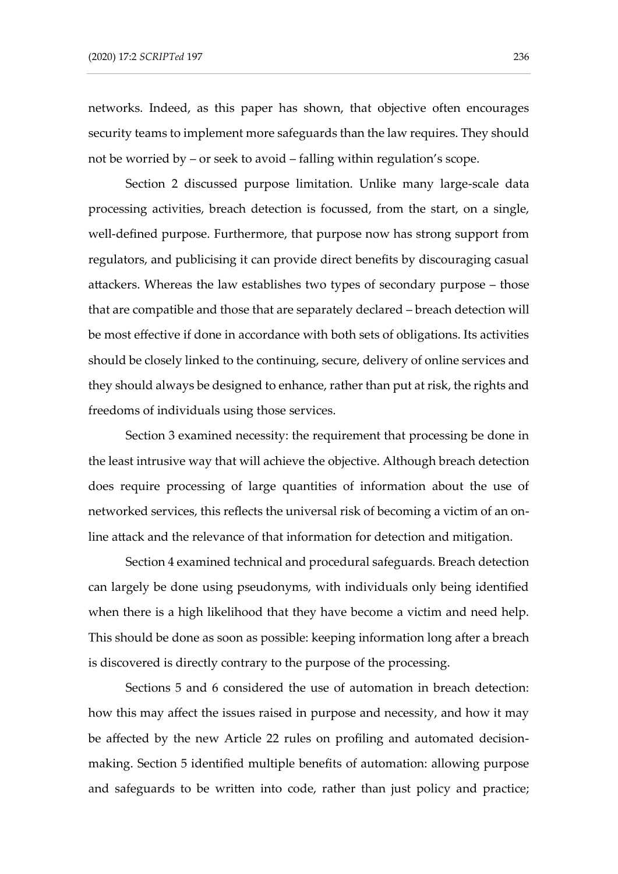networks. Indeed, as this paper has shown, that objective often encourages security teams to implement more safeguards than the law requires. They should not be worried by – or seek to avoid – falling within regulation's scope.

Section 2 discussed purpose limitation. Unlike many large-scale data processing activities, breach detection is focussed, from the start, on a single, well-defined purpose. Furthermore, that purpose now has strong support from regulators, and publicising it can provide direct benefits by discouraging casual attackers. Whereas the law establishes two types of secondary purpose – those that are compatible and those that are separately declared – breach detection will be most effective if done in accordance with both sets of obligations. Its activities should be closely linked to the continuing, secure, delivery of online services and they should always be designed to enhance, rather than put at risk, the rights and freedoms of individuals using those services.

Section 3 examined necessity: the requirement that processing be done in the least intrusive way that will achieve the objective. Although breach detection does require processing of large quantities of information about the use of networked services, this reflects the universal risk of becoming a victim of an online attack and the relevance of that information for detection and mitigation.

Section 4 examined technical and procedural safeguards. Breach detection can largely be done using pseudonyms, with individuals only being identified when there is a high likelihood that they have become a victim and need help. This should be done as soon as possible: keeping information long after a breach is discovered is directly contrary to the purpose of the processing.

Sections 5 and 6 considered the use of automation in breach detection: how this may affect the issues raised in purpose and necessity, and how it may be affected by the new Article 22 rules on profiling and automated decisionmaking. Section 5 identified multiple benefits of automation: allowing purpose and safeguards to be written into code, rather than just policy and practice;